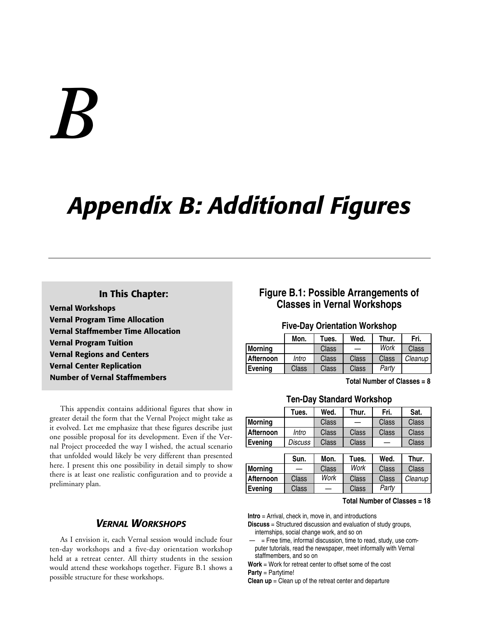# *B*

# *Appendix B: Additional Figures*

### **In This Chapter:**

**Vernal Workshops Vernal Program Time Allocation Vernal Staffmember Time Allocation Vernal Program Tuition Vernal Regions and Centers Vernal Center Replication Number of Vernal Staffmembers**

This appendix contains additional figures that show in greater detail the form that the Vernal Project might take as it evolved. Let me emphasize that these figures describe just one possible proposal for its development. Even if the Vernal Project proceeded the way I wished, the actual scenario that unfolded would likely be very different than presented here. I present this one possibility in detail simply to show there is at least one realistic configuration and to provide a preliminary plan.

### *VERNAL WORKSHOPS*

As I envision it, each Vernal session would include four ten-day workshops and a five-day orientation workshop held at a retreat center. All thirty students in the session would attend these workshops together. Figure B.1 shows a possible structure for these workshops.

### **Figure B.1: Possible Arrangements of Classes in Vernal Workshops**

### **Five-Day Orientation Workshop**

|                | Mon.  | Tues. | Wed.  | Thur. | Fri.    |
|----------------|-------|-------|-------|-------|---------|
| <b>Morning</b> |       | Class |       | Work  | Class   |
| Afternoon      | Intro | Class | Class | Class | Cleanup |
| <b>Evening</b> | Class | Class | Class | Party |         |

**Total Number of Classes = 8**

### **Ten-Day Standard Workshop**

|                | Tues.          | Wed.  | Thur. | Fri.  | Sat.  |
|----------------|----------------|-------|-------|-------|-------|
| <b>Morning</b> |                | Class |       | Class | Class |
| Afternoon      | Intro          | Class | Class | Class | Class |
| Evenina        | <i>Discuss</i> | Class | Class |       | Class |

|                | Sun.  | Mon.  | Tues. | Wed.  | Thur.   |
|----------------|-------|-------|-------|-------|---------|
| <b>Morning</b> | —     | Class | Work  | Class | Class   |
| Afternoon      | Class | Work  | Class | Class | Cleanup |
| <b>Evening</b> | Class |       | Class | Partv |         |

### **Total Number of Classes = 18**

**Intro** = Arrival, check in, move in, and introductions

- **Discuss** = Structured discussion and evaluation of study groups, internships, social change work, and so on
- = Free time, informal discussion, time to read, study, use computer tutorials, read the newspaper, meet informally with Vernal staffmembers, and so on

**Work** = Work for retreat center to offset some of the cost **Party** = Partytime!

**Clean up** = Clean up of the retreat center and departure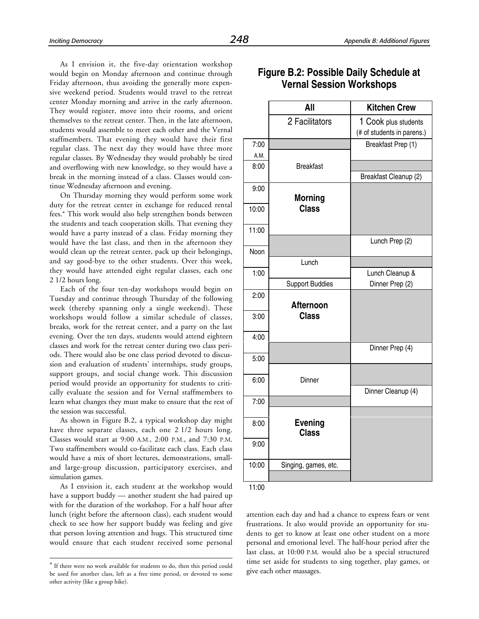As I envision it, the five-day orientation workshop would begin on Monday afternoon and continue through Friday afternoon, thus avoiding the generally more expensive weekend period. Students would travel to the retreat center Monday morning and arrive in the early afternoon. They would register, move into their rooms, and orient themselves to the retreat center. Then, in the late afternoon, students would assemble to meet each other and the Vernal staffmembers. That evening they would have their first regular class. The next day they would have three more regular classes. By Wednesday they would probably be tired and overflowing with new knowledge, so they would have a break in the morning instead of a class. Classes would continue Wednesday afternoon and evening.

On Thursday morning they would perform some work duty for the retreat center in exchange for reduced rental fees.\* This work would also help strengthen bonds between the students and teach cooperation skills. That evening they would have a party instead of a class. Friday morning they would have the last class, and then in the afternoon they would clean up the retreat center, pack up their belongings, and say good-bye to the other students. Over this week, they would have attended eight regular classes, each one 2 1/2 hours long.

Each of the four ten-day workshops would begin on Tuesday and continue through Thursday of the following week (thereby spanning only a single weekend). These workshops would follow a similar schedule of classes, breaks, work for the retreat center, and a party on the last evening. Over the ten days, students would attend eighteen classes and work for the retreat center during two class periods. There would also be one class period devoted to discussion and evaluation of students' internships, study groups, support groups, and social change work. This discussion period would provide an opportunity for students to critically evaluate the session and for Vernal staffmembers to learn what changes they must make to ensure that the rest of the session was successful.

As shown in Figure B.2, a typical workshop day might have three separate classes, each one 2 1/2 hours long. Classes would start at 9:00 A.M., 2:00 P.M., and 7:30 P.M. Two staffmembers would co-facilitate each class. Each class would have a mix of short lectures, demonstrations, smalland large-group discussion, participatory exercises, and simulation games.

As I envision it, each student at the workshop would have a support buddy — another student she had paired up with for the duration of the workshop. For a half hour after lunch (right before the afternoon class), each student would check to see how her support buddy was feeling and give that person loving attention and hugs. This structured time would ensure that each student received some personal

-

|              | All                              | <b>Kitchen Crew</b>                                |
|--------------|----------------------------------|----------------------------------------------------|
|              | 2 Facilitators                   | 1 Cook plus students<br>(# of students in parens.) |
| 7:00         |                                  | Breakfast Prep (1)                                 |
| A.M.         |                                  |                                                    |
| 8:00         | <b>Breakfast</b>                 |                                                    |
|              |                                  | Breakfast Cleanup (2)                              |
| 9:00         |                                  |                                                    |
| 10:00        | <b>Morning</b><br><b>Class</b>   |                                                    |
| 11:00        |                                  |                                                    |
|              |                                  | Lunch Prep (2)                                     |
| Noon         |                                  |                                                    |
|              | Lunch                            |                                                    |
| 1:00         |                                  | Lunch Cleanup &                                    |
|              | <b>Support Buddies</b>           | Dinner Prep (2)                                    |
| 2:00<br>3:00 | <b>Afternoon</b><br><b>Class</b> |                                                    |
| 4:00         |                                  |                                                    |
|              |                                  | Dinner Prep (4)                                    |
| 5:00         |                                  |                                                    |
|              |                                  |                                                    |
| 6:00         | Dinner                           |                                                    |
|              |                                  | Dinner Cleanup (4)                                 |
| 7:00         |                                  |                                                    |
| 8:00         | <b>Evening</b><br><b>Class</b>   |                                                    |
| 9:00         |                                  |                                                    |
| 10:00        | Singing, games, etc.             |                                                    |
|              |                                  |                                                    |

### **Figure B.2: Possible Daily Schedule at Vernal Session Workshops**

11:00

attention each day and had a chance to express fears or vent frustrations. It also would provide an opportunity for students to get to know at least one other student on a more personal and emotional level. The half-hour period after the last class, at 10:00 P.M. would also be a special structured time set aside for students to sing together, play games, or give each other massages.

<sup>\*</sup> If there were no work available for students to do, then this period could be used for another class, left as a free time period, or devoted to some other activity (like a group hike).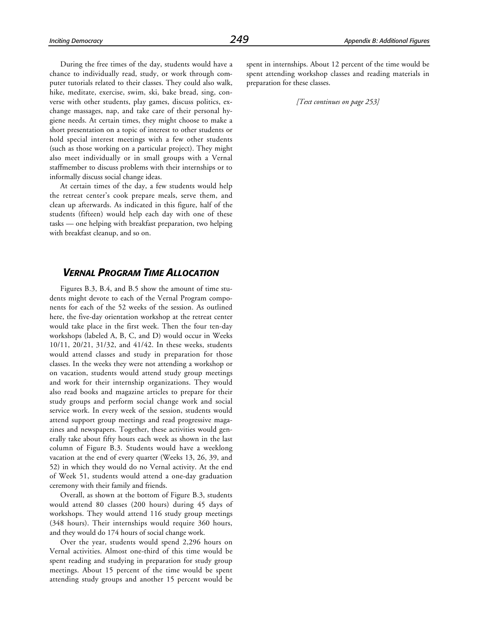During the free times of the day, students would have a chance to individually read, study, or work through computer tutorials related to their classes. They could also walk, hike, meditate, exercise, swim, ski, bake bread, sing, converse with other students, play games, discuss politics, exchange massages, nap, and take care of their personal hygiene needs. At certain times, they might choose to make a short presentation on a topic of interest to other students or hold special interest meetings with a few other students (such as those working on a particular project). They might also meet individually or in small groups with a Vernal staffmember to discuss problems with their internships or to informally discuss social change ideas.

At certain times of the day, a few students would help the retreat center's cook prepare meals, serve them, and clean up afterwards. As indicated in this figure, half of the students (fifteen) would help each day with one of these tasks — one helping with breakfast preparation, two helping with breakfast cleanup, and so on.

### *VERNAL PROGRAM TIME ALLOCATION*

Figures B.3, B.4, and B.5 show the amount of time students might devote to each of the Vernal Program components for each of the 52 weeks of the session. As outlined here, the five-day orientation workshop at the retreat center would take place in the first week. Then the four ten-day workshops (labeled A, B, C, and D) would occur in Weeks 10/11, 20/21, 31/32, and 41/42. In these weeks, students would attend classes and study in preparation for those classes. In the weeks they were not attending a workshop or on vacation, students would attend study group meetings and work for their internship organizations. They would also read books and magazine articles to prepare for their study groups and perform social change work and social service work. In every week of the session, students would attend support group meetings and read progressive magazines and newspapers. Together, these activities would generally take about fifty hours each week as shown in the last column of Figure B.3. Students would have a weeklong vacation at the end of every quarter (Weeks 13, 26, 39, and 52) in which they would do no Vernal activity. At the end of Week 51, students would attend a one-day graduation ceremony with their family and friends.

Overall, as shown at the bottom of Figure B.3, students would attend 80 classes (200 hours) during 45 days of workshops. They would attend 116 study group meetings (348 hours). Their internships would require 360 hours, and they would do 174 hours of social change work.

Over the year, students would spend 2,296 hours on Vernal activities. Almost one-third of this time would be spent reading and studying in preparation for study group meetings. About 15 percent of the time would be spent attending study groups and another 15 percent would be spent in internships. About 12 percent of the time would be spent attending workshop classes and reading materials in preparation for these classes.

*[Text continues on page 253]*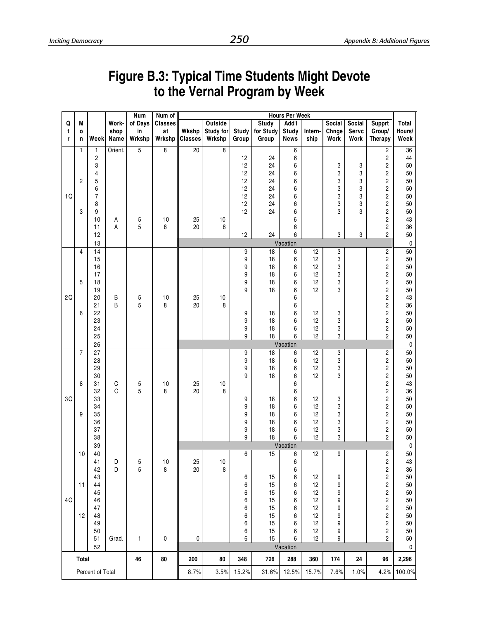### **Figure B.3: Typical Time Students Might Devote to the Vernal Program by Week**

|            |                |                         |               | Num     | Num of         |                |           |        |              | <b>Hours Per Week</b> |                 |        |        |                                                    |                 |
|------------|----------------|-------------------------|---------------|---------|----------------|----------------|-----------|--------|--------------|-----------------------|-----------------|--------|--------|----------------------------------------------------|-----------------|
| Q          | M              |                         | Work-         | of Days | <b>Classes</b> |                | Outside   |        | <b>Study</b> | Add'l                 |                 | Social | Social | <b>Supprt</b>                                      | <b>Total</b>    |
| t          | 0              |                         | shop          | in      | at             | Wkshp          | Study for | Study  | for Study    | <b>Study</b>          | Intern-         | Chnge  | Servc  | Group/                                             | Hours/          |
| r          | n              | Week                    | Name          | Wrkshp  | Wrkshp         | <b>Classes</b> | Wrkshp    | Group  | Group        | <b>News</b>           | ship            | Work   | Work   | Therapy                                            | Week            |
|            | 1              | 1                       | Orient.       | 5       | 8              | 20             | 8         |        |              | 6                     |                 |        |        | $\overline{\mathbf{c}}$                            | 36              |
|            |                | $\overline{\mathbf{c}}$ |               |         |                |                |           | 12     | 24           | 6                     |                 |        |        | $\overline{\mathbf{c}}$                            | 44              |
|            |                | 3                       |               |         |                |                |           | 12     | 24           | 6                     |                 | 3      | 3      | $\overline{\mathbf{c}}$                            | 50              |
|            |                | 4                       |               |         |                |                |           | 12     | 24           | 6                     |                 | 3      | 3      | $\overline{\mathbf{c}}$                            | 50              |
|            | $\overline{c}$ | 5                       |               |         |                |                |           | 12     | 24           | 6                     |                 | 3      | 3      | $\overline{\mathbf{c}}$                            | 50              |
|            |                | 6                       |               |         |                |                |           | 12     | 24           | 6                     |                 | 3      | 3      | $\overline{\mathbf{c}}$                            | 50              |
| $1Q$       |                | $\overline{7}$          |               |         |                |                |           | 12     | 24           | 6                     |                 | 3      | 3      | $\overline{\mathbf{c}}$                            | 50              |
|            |                | 8                       |               |         |                |                |           | 12     | 24           | 6                     |                 | 3      | 3<br>3 | $\overline{\mathbf{c}}$                            | 50              |
|            | 3              | 9<br>10                 |               |         | 10             | 25             | 10        | 12     | 24           | 6<br>6                |                 | 3      |        | $\overline{\mathbf{c}}$<br>$\overline{\mathbf{c}}$ | 50<br>43        |
|            |                | 11                      | А<br>A        | 5<br>5  | 8              | 20             | 8         |        |              | 6                     |                 |        |        | $\overline{\mathbf{c}}$                            | 36              |
|            |                | 12                      |               |         |                |                |           | 12     | 24           | 6                     |                 | 3      | 3      | $\overline{c}$                                     | 50              |
|            |                | 13                      |               |         |                |                |           |        |              | Vacation              |                 |        |        |                                                    | $\pmb{0}$       |
|            | $\overline{4}$ | 14                      |               |         |                |                |           | 9      | 18           | 6                     | $\overline{12}$ | 3      |        | $\overline{\mathbf{c}}$                            | 50              |
|            |                | 15                      |               |         |                |                |           | 9      | 18           | 6                     | 12              | 3      |        | $\overline{\mathbf{c}}$                            | 50              |
|            |                | 16                      |               |         |                |                |           | 9      | 18           | 6                     | 12              | 3      |        | $\overline{\mathbf{c}}$                            | 50              |
|            |                | 17                      |               |         |                |                |           | 9      | 18           | 6                     | 12              | 3      |        | $\overline{\mathbf{c}}$                            | 50              |
|            | 5              | 18                      |               |         |                |                |           | 9      | 18           | 6                     | 12              | 3      |        | $\overline{\mathbf{c}}$                            | 50              |
|            |                | 19                      |               |         |                |                |           | 9      | 18           | 6                     | 12              | 3      |        | $\overline{\mathbf{c}}$                            | 50              |
| 2Q         |                | 20                      | Β             | 5       | 10             | 25             | $10$      |        |              | 6                     |                 |        |        | $\overline{\mathbf{c}}$                            | 43              |
|            |                | 21                      | B             | 5       | 8              | 20             | 8         |        |              | 6                     |                 |        |        | $\overline{\mathbf{c}}$                            | 36              |
|            | 6              | 22                      |               |         |                |                |           | 9      | 18           | 6                     | 12              | 3      |        | $\overline{\mathbf{c}}$                            | 50              |
|            |                | 23<br>24                |               |         |                |                |           | 9      | 18           | 6                     | 12              | 3      |        | $\overline{\mathbf{c}}$                            | 50<br>50        |
|            |                | 25                      |               |         |                |                |           | 9<br>9 | 18<br>18     | 6<br>6                | 12<br>12        | 3<br>3 |        | $\overline{\mathbf{c}}$<br>2                       | 50              |
|            |                | 26                      |               |         |                |                |           |        |              | Vacation              |                 |        |        |                                                    | $\pmb{0}$       |
|            | $\overline{7}$ | $\overline{27}$         |               |         |                |                |           | 9      | 18           | 6                     | 12              | 3      |        | $\overline{\mathbf{c}}$                            | 50              |
|            |                | 28                      |               |         |                |                |           | 9      | 18           | 6                     | 12              | 3      |        | $\overline{\mathbf{c}}$                            | 50              |
|            |                | 29                      |               |         |                |                |           | 9      | 18           | 6                     | 12              | 3      |        | $\overline{\mathbf{c}}$                            | 50              |
|            |                | 30                      |               |         |                |                |           | 9      | 18           | 6                     | 12              | 3      |        | $\overline{\mathbf{c}}$                            | 50              |
|            | 8              | 31                      | $\frac{C}{C}$ | 5       | 10             | 25             | 10        |        |              | 6                     |                 |        |        | $\overline{\mathbf{c}}$                            | 43              |
|            |                | 32                      |               | 5       | 8              | 20             | 8         |        |              | 6                     |                 |        |        | $\overline{\mathbf{c}}$                            | 36              |
| $3{\sf Q}$ |                | 33                      |               |         |                |                |           | 9      | 18           | 6                     | 12              | 3      |        | $\overline{\mathbf{c}}$                            | 50              |
|            |                | 34                      |               |         |                |                |           | 9      | 18           | 6                     | 12              | 3      |        | $\overline{\mathbf{c}}$                            | 50              |
|            | 9              | 35<br>36                |               |         |                |                |           | 9      | 18           | 6<br>6                | 12<br>12        | 3      |        | $\overline{\mathbf{c}}$                            | 50<br>50        |
|            |                | 37                      |               |         |                |                |           | 9<br>9 | 18<br>18     | 6                     | 12              | 3<br>3 |        | $\overline{\mathbf{c}}$<br>$\overline{\mathbf{c}}$ | 50              |
|            |                | 38                      |               |         |                |                |           | 9      | 18           | 6                     | 12              | 3      |        | $\overline{c}$                                     | 50              |
|            |                | 39                      |               |         |                |                |           |        |              | Vacation              |                 |        |        |                                                    | 0               |
|            | 10             | 40                      |               |         |                |                |           | 6      | 15           | 6                     | $\overline{12}$ | 9      |        | $\overline{\mathbf{c}}$                            | $\overline{50}$ |
|            |                | 41                      | D             | 5       | 10             | 25             | 10        |        |              | 6                     |                 |        |        | $\overline{c}$                                     | 43              |
|            |                | 42                      | D             | 5       | 8              | 20             | 8         |        |              | 6                     |                 |        |        | $\overline{\mathbf{c}}$                            | 36              |
|            |                | 43                      |               |         |                |                |           | 6      | 15           | 6                     | 12              | 9      |        | $\overline{\mathbf{c}}$                            | 50              |
|            | 11             | 44                      |               |         |                |                |           | 6      | 15           | 6                     | 12              | 9      |        | $\overline{\mathbf{c}}$                            | 50              |
|            |                | 45                      |               |         |                |                |           | 6      | 15           | 6                     | 12              | 9      |        | $\overline{\mathbf{c}}$                            | 50              |
| 4Q         |                | 46                      |               |         |                |                |           | 6      | 15           | 6                     | 12              | 9      |        | $\overline{\mathbf{c}}$                            | 50              |
|            |                | 47                      |               |         |                |                |           | 6      | 15           | 6                     | 12<br>12        | 9      |        | $\overline{\mathbf{c}}$                            | 50              |
|            | 12             | 48<br>49                |               |         |                |                |           | 6<br>6 | 15<br>15     | 6<br>6                | 12              | 9<br>9 |        | $\overline{\mathbf{c}}$<br>$\overline{\mathbf{c}}$ | 50<br>50        |
|            |                | 50                      |               |         |                |                |           | 6      | 15           | 6                     | 12              | 9      |        | $\overline{\mathbf{c}}$                            | 50              |
|            |                | 51                      | Grad.         | 1       | 0              | 0              |           | 6      | 15           | 6                     | 12              | 9      |        | $\overline{c}$                                     | 50              |
|            |                | 52                      |               |         |                |                |           |        |              | Vacation              |                 |        |        |                                                    | 0               |
|            | <b>Total</b>   |                         |               | 46      | 80             | 200            | 80        | 348    | 726          | 288                   | 360             | 174    | 24     | 96                                                 | 2,296           |
|            |                | Percent of Total        |               |         |                | 8.7%           | 3.5%      | 15.2%  | 31.6%        | 12.5%                 | 15.7%           | 7.6%   | 1.0%   | 4.2%                                               | 100.0%          |
|            |                |                         |               |         |                |                |           |        |              |                       |                 |        |        |                                                    |                 |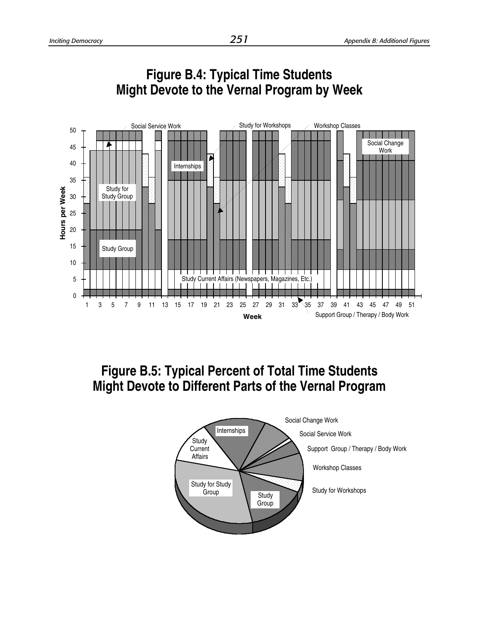



### **Figure B.4: Typical Time Students Might Devote to the Vernal Program by Week**

# **Figure B.5: Typical Percent of Total Time Students Might Devote to Different Parts of the Vernal Program**

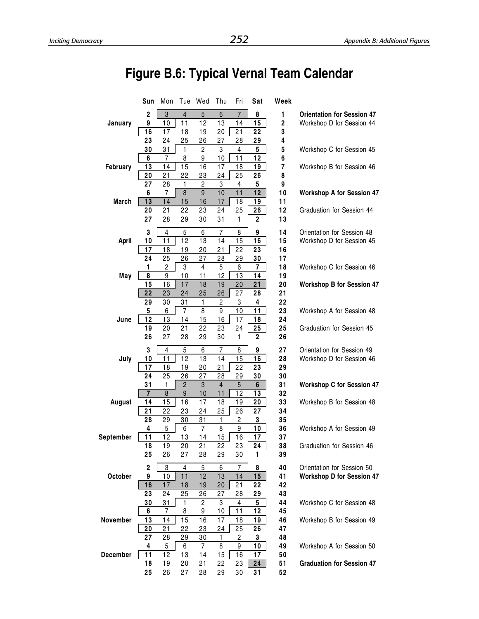# **Figure B.6: Typical Vernal Team Calendar**

|                 | Sun                           | Mon            |                 | Tue Wed              | Thu                             | Fri            | Sat            | Week           |                                                         |
|-----------------|-------------------------------|----------------|-----------------|----------------------|---------------------------------|----------------|----------------|----------------|---------------------------------------------------------|
|                 | $\overline{2}$                | $\overline{3}$ | $\overline{4}$  | 5                    | $6\phantom{1}$                  | $\overline{7}$ | 8              | 1              | <b>Orientation for Session 47</b>                       |
| January         | 9                             | 10             | 11              | 12                   | 13                              | 14             | 15             | $\mathbf 2$    | Workshop D for Session 44                               |
|                 | 16                            | 17             | 18              | 19                   | 20                              | 21             | 22             | 3              |                                                         |
|                 | 23                            | 24             | 25              | 26                   | 27                              | 28             | 29             | 4              |                                                         |
|                 | 30                            | 31             | 1               | $\overline{c}$       | 3                               | 4              | 5              | 5              | Workshop C for Session 45                               |
|                 | 6                             | 7              | 8               | 9                    | 10                              | 11             | 12             | 6              |                                                         |
| February        | 13                            | 14<br>21       | 15<br>22        | 16                   | 17                              | 18<br>25       | 19<br>26       | $\overline{7}$ | Workshop B for Session 46                               |
|                 | 20<br>$\overline{27}$         | 28             | 1               | 23<br>$\overline{2}$ | 24<br>$\ensuremath{\mathsf{3}}$ | 4              | 5              | 8<br>9         |                                                         |
|                 | 6                             | 7              | 8               | 9                    | 10                              | 11             | 12             | 10             | <b>Workshop A for Session 47</b>                        |
| March           | 13                            | 14             | 15              | 16                   | 17                              | 18             | 19             | 11             |                                                         |
|                 | 20                            | 21             | 22              | 23                   | 24                              | 25             | 26             | 12             | Graduation for Session 44                               |
|                 | 27                            | 28             | 29              | 30                   | 31                              | 1              | $\overline{2}$ | 13             |                                                         |
|                 | 3                             |                |                 |                      |                                 |                | 9              | 14             |                                                         |
| April           | 10                            | 4<br>11        | 5<br>12         | 6<br>13              | 7<br>14                         | 8<br>15        | 16             | 15             | Orientation for Session 48<br>Workshop D for Session 45 |
|                 | 17                            | 18             | 19              | 20                   | 21                              | 22             | 23             | 16             |                                                         |
|                 | 24                            | 25             | 26              | 27                   | 28                              | 29             | 30             | 17             |                                                         |
|                 | 1                             | $\overline{c}$ | 3               | 4                    | 5                               | 6              | 7              | 18             | Workshop C for Session 46                               |
| May             | 8                             | 9              | 10              | 11                   | 12                              | 13             | 14             | 19             |                                                         |
|                 | 15                            | 16             | 17              | 18                   | 19                              | 20             | 21             | 20             | <b>Workshop B for Session 47</b>                        |
|                 | 22                            | 23             | 24              | 25                   | 26                              | 27             | 28             | 21             |                                                         |
|                 | 29                            | 30             | 31              | $\mathbf{1}$         | 2                               | 3              | 4              | 22             |                                                         |
|                 | 5                             | 6              | 7               | 8                    | 9                               | 10             | 11             | 23             | Workshop A for Session 48                               |
| June            | 12                            | 13             | 14              | 15                   | 16                              | 17             | 18             | 24             |                                                         |
|                 | 19                            | 20             | 21              | 22                   | 23                              | 24             | 25             | 25             | Graduation for Session 45                               |
|                 | 26                            | 27             | 28              | 29                   | 30                              | 1              | $\overline{2}$ | 26             |                                                         |
|                 | 3                             | 4              | 5               | 6                    | 7                               | 8              | 9              | 27             | Orientation for Session 49                              |
| July            | 10                            | 11             | 12              | 13                   | 14                              | 15             | 16             | 28             | Workshop D for Session 46                               |
|                 | 17                            | 18             | 19              | 20                   | 21                              | 22             | 23             | 29             |                                                         |
|                 | 24                            | 25             | 26              | 27                   | 28                              | 29             | 30             | 30             |                                                         |
|                 | 31                            | 1              | $\overline{2}$  | 3                    | $\overline{4}$                  | 5              | 6              | 31             | <b>Workshop C for Session 47</b>                        |
| August          | $\overline{\mathbf{r}}$<br>14 | 8<br>15        | 9<br>16         | 10<br>17             | 11<br>18                        | 12<br>19       | 13             | 32<br>33       | Workshop B for Session 48                               |
|                 | 21                            | 22             | 23              | 24                   | 25                              | 26             | 20<br>27       | 34             |                                                         |
|                 | 28                            | 29             | 30              | 31                   | 1                               | 2              | 3              | 35             |                                                         |
|                 | 4                             | 5              | 6               | $\overline{7}$       | 8                               | 9              | 10             | 36             | Workshop A for Session 49                               |
| September       | 11                            | 12             | 13              | 14                   | 15                              | 16             | 17             | 37             |                                                         |
|                 | 18                            | 19             | 20              | 21                   | 22                              | 23             | 24             | 38             | Graduation for Session 46                               |
|                 | 25                            | 26             | 27              | 28                   | 29                              | 30             | 1              | 39             |                                                         |
|                 | $\mathbf 2$                   | 3              | 4               | 5                    | 6                               | 7              | 8              | 40             | Orientation for Session 50                              |
| October         | 9                             | 10             | $\overline{11}$ | 12                   | 13                              | 14             | 15             | 41             | <b>Workshop D for Session 47</b>                        |
|                 | 16                            | 17             | 18              | 19                   | 20                              | 21             | 22             | 42             |                                                         |
|                 | 23                            | 24             | 25              | 26                   | 27                              | 28             | 29             | 43             |                                                         |
|                 | 30                            | 31             | 1               | $\mathbf{2}$         | 3                               | 4              | 5              | 44             | Workshop C for Session 48                               |
|                 | 6                             | 7              | 8               | 9                    | 10                              | 11             | 12             | 45             |                                                         |
| November        | 13                            | 14             | 15              | 16                   | 17                              | 18             | 19             | 46             | Workshop B for Session 49                               |
|                 | 20                            | 21             | 22              | 23                   | 24                              | 25             | 26             | 47             |                                                         |
|                 | 27                            | 28             | 29              | 30                   | 1                               | 2              | 3              | 48             |                                                         |
| <b>December</b> | 4<br>11                       | 5<br>12        | 6<br>13         | $\overline{7}$<br>14 | 8<br>15                         | 9<br>16        | 10<br>17       | 49<br>50       | Workshop A for Session 50                               |
|                 | 18                            | 19             | 20              | 21                   | 22                              | 23             | 24             | 51             | <b>Graduation for Session 47</b>                        |
|                 | 25                            | 26             | 27              | 28                   | 29                              | 30             | 31             | 52             |                                                         |
|                 |                               |                |                 |                      |                                 |                |                |                |                                                         |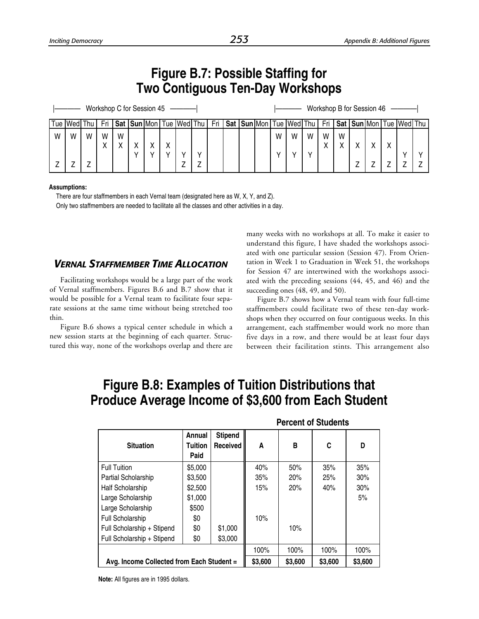|   | <b>Figure B.7: Possible Staffing for</b><br><b>Two Contiguous Ten-Day Workshops</b> |   |   |   |   |   |  |                                 |  |  |  |  |  |   |   |   |   |   |                           |                                                                                                                     |  |
|---|-------------------------------------------------------------------------------------|---|---|---|---|---|--|---------------------------------|--|--|--|--|--|---|---|---|---|---|---------------------------|---------------------------------------------------------------------------------------------------------------------|--|
|   |                                                                                     |   |   |   |   |   |  | Workshop C for Session 45 ----- |  |  |  |  |  |   |   |   |   |   | Workshop B for Session 46 |                                                                                                                     |  |
|   | Tue  Wed  Thu   Fri                                                                 |   |   |   |   |   |  |                                 |  |  |  |  |  |   |   |   |   |   |                           | Sat   Sun Mon   Tue   Wed   Thu   Fri   Sat   Sun   Mon   Tue   Wed   Thu   Fri   Sat   Sun   Mon   Tue   Wed   Thu |  |
| W | W                                                                                   | W | W | W |   |   |  |                                 |  |  |  |  |  | W | W | W | W | W |                           |                                                                                                                     |  |
|   |                                                                                     |   |   | X |   | X |  |                                 |  |  |  |  |  |   |   |   | χ | X |                           |                                                                                                                     |  |
|   |                                                                                     |   |   |   | v | v |  |                                 |  |  |  |  |  | v |   |   |   |   |                           |                                                                                                                     |  |
|   |                                                                                     |   |   |   |   |   |  |                                 |  |  |  |  |  |   |   |   |   |   |                           |                                                                                                                     |  |

#### **Assumptions:**

There are four staffmembers in each Vernal team (designated here as W, X, Y, and Z). Only two staffmembers are needed to facilitate all the classes and other activities in a day.

### *VERNAL STAFFMEMBER TIME ALLOCATION*

Facilitating workshops would be a large part of the work of Vernal staffmembers. Figures B.6 and B.7 show that it would be possible for a Vernal team to facilitate four separate sessions at the same time without being stretched too thin.

Figure B.6 shows a typical center schedule in which a new session starts at the beginning of each quarter. Structured this way, none of the workshops overlap and there are many weeks with no workshops at all. To make it easier to understand this figure, I have shaded the workshops associated with one particular session (Session 47). From Orientation in Week 1 to Graduation in Week 51, the workshops for Session 47 are intertwined with the workshops associated with the preceding sessions (44, 45, and 46) and the succeeding ones (48, 49, and 50).

Figure B.7 shows how a Vernal team with four full-time staffmembers could facilitate two of these ten-day workshops when they occurred on four contiguous weeks. In this arrangement, each staffmember would work no more than five days in a row, and there would be at least four days between their facilitation stints. This arrangement also

### **Figure B.8: Examples of Tuition Distributions that Produce Average Income of \$3,600 from Each Student**

|                                           |                           |                            |         | <b>Percent of Students</b> |         |         |
|-------------------------------------------|---------------------------|----------------------------|---------|----------------------------|---------|---------|
| <b>Situation</b>                          | Annual<br>Tuition<br>Paid | <b>Stipend</b><br>Received | A       | В                          | C       | D       |
| <b>Full Tuition</b>                       | \$5,000                   |                            | 40%     | 50%                        | 35%     | 35%     |
| Partial Scholarship                       | \$3,500                   |                            | 35%     | 20%                        | 25%     | 30%     |
| Half Scholarship                          | \$2,500                   |                            | 15%     | 20%                        | 40%     | 30%     |
| Large Scholarship                         | \$1,000                   |                            |         |                            |         | 5%      |
| Large Scholarship                         | \$500                     |                            |         |                            |         |         |
| <b>Full Scholarship</b>                   | \$0                       |                            | 10%     |                            |         |         |
| Full Scholarship + Stipend                | \$0                       | \$1,000                    |         | 10%                        |         |         |
| Full Scholarship + Stipend                | \$0                       | \$3,000                    |         |                            |         |         |
|                                           |                           |                            | 100%    | 100%                       | 100%    | 100%    |
| Avg. Income Collected from Each Student = |                           |                            | \$3,600 | \$3,600                    | \$3,600 | \$3,600 |

**Note:** All figures are in 1995 dollars.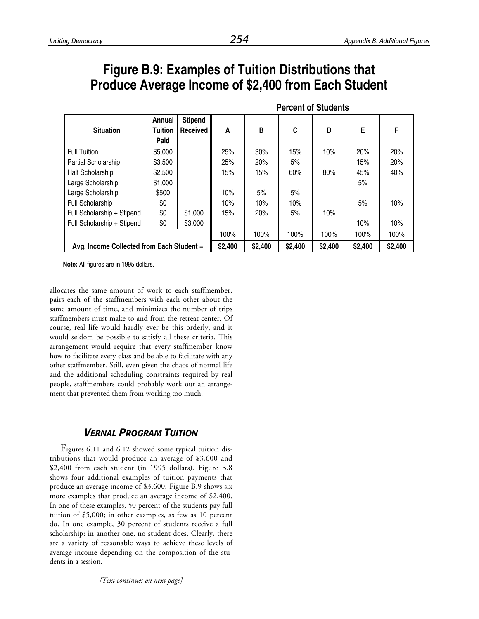### **Figure B.9: Examples of Tuition Distributions that Produce Average Income of \$2,400 from Each Student**

|                                           |                                  |                            |         |         |         | <b>Percent of Students</b> |         |         |
|-------------------------------------------|----------------------------------|----------------------------|---------|---------|---------|----------------------------|---------|---------|
| <b>Situation</b>                          | Annual<br><b>Tuition</b><br>Paid | <b>Stipend</b><br>Received | A       | в       | C       | D                          | E.      | F       |
| <b>Full Tuition</b>                       | \$5,000                          |                            | 25%     | 30%     | 15%     | 10%                        | 20%     | 20%     |
| <b>Partial Scholarship</b>                | \$3,500                          |                            | 25%     | 20%     | 5%      |                            | 15%     | 20%     |
| Half Scholarship                          | \$2,500                          |                            | 15%     | 15%     | 60%     | 80%                        | 45%     | 40%     |
| Large Scholarship                         | \$1,000                          |                            |         |         |         |                            | 5%      |         |
| Large Scholarship                         | \$500                            |                            | 10%     | 5%      | 5%      |                            |         |         |
| Full Scholarship                          | \$0                              |                            | 10%     | 10%     | 10%     |                            | 5%      | 10%     |
| Full Scholarship + Stipend                | \$0                              | \$1,000                    | 15%     | 20%     | 5%      | 10%                        |         |         |
| Full Scholarship + Stipend                | \$0                              | \$3,000                    |         |         |         |                            | 10%     | 10%     |
|                                           |                                  |                            | 100%    | 100%    | 100%    | 100%                       | 100%    | 100%    |
| Avg. Income Collected from Each Student = |                                  |                            | \$2,400 | \$2,400 | \$2,400 | \$2,400                    | \$2,400 | \$2,400 |

**Note:** All figures are in 1995 dollars.

allocates the same amount of work to each staffmember, pairs each of the staffmembers with each other about the same amount of time, and minimizes the number of trips staffmembers must make to and from the retreat center. Of course, real life would hardly ever be this orderly, and it would seldom be possible to satisfy all these criteria. This arrangement would require that every staffmember know how to facilitate every class and be able to facilitate with any other staffmember. Still, even given the chaos of normal life and the additional scheduling constraints required by real people, staffmembers could probably work out an arrangement that prevented them from working too much.

### *VERNAL PROGRAM TUITION*

Figures 6.11 and 6.12 showed some typical tuition distributions that would produce an average of \$3,600 and \$2,400 from each student (in 1995 dollars). Figure B.8 shows four additional examples of tuition payments that produce an average income of \$3,600. Figure B.9 shows six more examples that produce an average income of \$2,400. In one of these examples, 50 percent of the students pay full tuition of \$5,000; in other examples, as few as 10 percent do. In one example, 30 percent of students receive a full scholarship; in another one, no student does. Clearly, there are a variety of reasonable ways to achieve these levels of average income depending on the composition of the students in a session.

*[Text continues on next page]*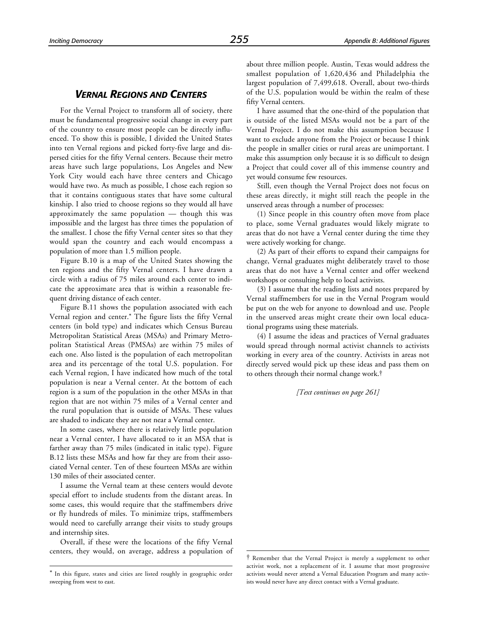### *VERNAL REGIONS AND CENTERS*

For the Vernal Project to transform all of society, there must be fundamental progressive social change in every part of the country to ensure most people can be directly influenced. To show this is possible, I divided the United States into ten Vernal regions and picked forty-five large and dispersed cities for the fifty Vernal centers. Because their metro areas have such large populations, Los Angeles and New York City would each have three centers and Chicago would have two. As much as possible, I chose each region so that it contains contiguous states that have some cultural kinship. I also tried to choose regions so they would all have approximately the same population — though this was impossible and the largest has three times the population of the smallest. I chose the fifty Vernal center sites so that they would span the country and each would encompass a population of more than 1.5 million people.

Figure B.10 is a map of the United States showing the ten regions and the fifty Vernal centers. I have drawn a circle with a radius of 75 miles around each center to indicate the approximate area that is within a reasonable frequent driving distance of each center.

Figure B.11 shows the population associated with each Vernal region and center.\* The figure lists the fifty Vernal centers (in bold type) and indicates which Census Bureau Metropolitan Statistical Areas (MSAs) and Primary Metropolitan Statistical Areas (PMSAs) are within 75 miles of each one. Also listed is the population of each metropolitan area and its percentage of the total U.S. population. For each Vernal region, I have indicated how much of the total population is near a Vernal center. At the bottom of each region is a sum of the population in the other MSAs in that region that are not within 75 miles of a Vernal center and the rural population that is outside of MSAs. These values are shaded to indicate they are not near a Vernal center.

In some cases, where there is relatively little population near a Vernal center, I have allocated to it an MSA that is farther away than 75 miles (indicated in italic type). Figure B.12 lists these MSAs and how far they are from their associated Vernal center. Ten of these fourteen MSAs are within 130 miles of their associated center.

I assume the Vernal team at these centers would devote special effort to include students from the distant areas. In some cases, this would require that the staffmembers drive or fly hundreds of miles. To minimize trips, staffmembers would need to carefully arrange their visits to study groups and internship sites.

Overall, if these were the locations of the fifty Vernal centers, they would, on average, address a population of

-

about three million people. Austin, Texas would address the smallest population of 1,620,436 and Philadelphia the largest population of 7,499,618. Overall, about two-thirds of the U.S. population would be within the realm of these fifty Vernal centers.

I have assumed that the one-third of the population that is outside of the listed MSAs would not be a part of the Vernal Project. I do not make this assumption because I want to exclude anyone from the Project or because I think the people in smaller cities or rural areas are unimportant. I make this assumption only because it is so difficult to design a Project that could cover all of this immense country and yet would consume few resources.

Still, even though the Vernal Project does not focus on these areas directly, it might still reach the people in the unserved areas through a number of processes:

(1) Since people in this country often move from place to place, some Vernal graduates would likely migrate to areas that do not have a Vernal center during the time they were actively working for change.

(2) As part of their efforts to expand their campaigns for change, Vernal graduates might deliberately travel to those areas that do not have a Vernal center and offer weekend workshops or consulting help to local activists.

(3) I assume that the reading lists and notes prepared by Vernal staffmembers for use in the Vernal Program would be put on the web for anyone to download and use. People in the unserved areas might create their own local educational programs using these materials.

(4) I assume the ideas and practices of Vernal graduates would spread through normal activist channels to activists working in every area of the country. Activists in areas not directly served would pick up these ideas and pass them on to others through their normal change work.†

*[Text continues on page 261]*

1

<sup>\*</sup> In this figure, states and cities are listed roughly in geographic order sweeping from west to east.

<sup>†</sup> Remember that the Vernal Project is merely a supplement to other activist work, not a replacement of it. I assume that most progressive activists would never attend a Vernal Education Program and many activists would never have any direct contact with a Vernal graduate.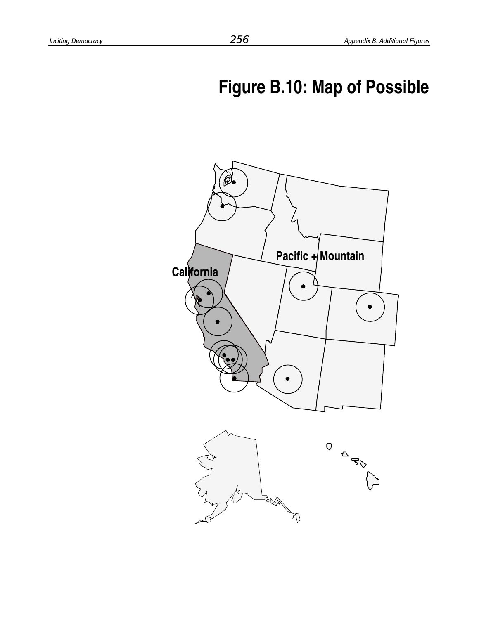# **Figure B.10: Map of Possible**

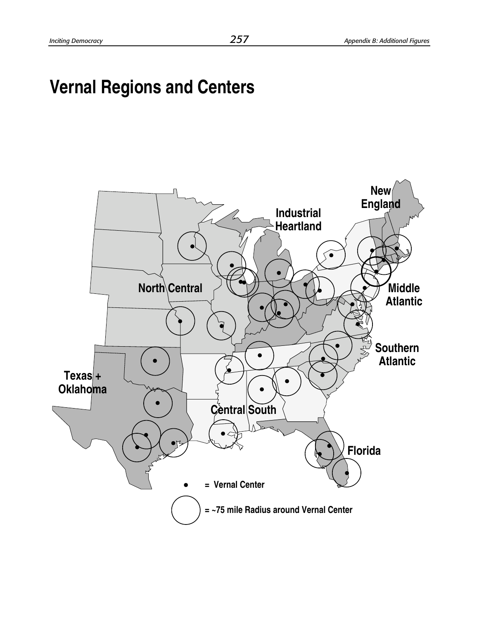# **Vernal Regions and Centers**

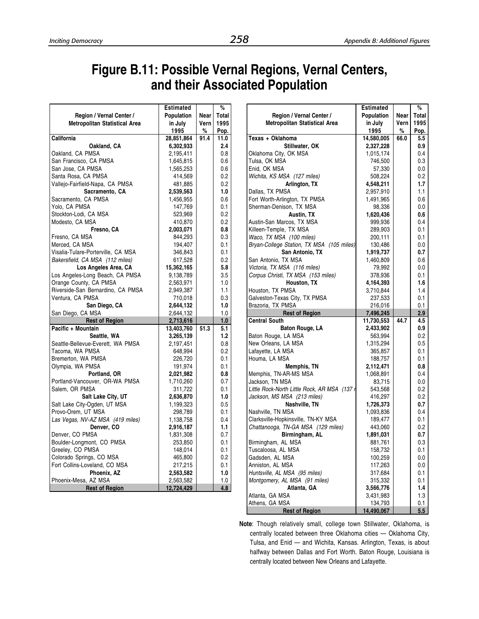Г

# **Figure B.11: Possible Vernal Regions, Vernal Centers, and their Associated Population**

|                                                  | <b>Estimated</b> |      | %          |
|--------------------------------------------------|------------------|------|------------|
| Region / Vernal Center /                         | Population       | Near | Total      |
| <b>Metropolitan Statistical Area</b>             | in July          | Vern | 1995       |
|                                                  | 1995             | $\%$ | Pop.       |
| California                                       | 28,851,864       | 91.4 | 11.0       |
| Oakland, CA                                      | 6,302,933        |      | 2.4        |
| Oakland, CA PMSA                                 | 2,195,411        |      | 0.8        |
| San Francisco, CA PMSA                           | 1,645,815        |      | 0.6        |
| San Jose, CA PMSA                                | 1,565,253        |      | 0.6        |
| Santa Rosa, CA PMSA                              | 414,569          |      | 0.2        |
| Vallejo-Fairfield-Napa, CA PMSA                  | 481,885          |      | 0.2        |
| Sacramento, CA                                   | 2,539,563        |      | 1.0        |
| Sacramento, CA PMSA                              | 1,456,955        |      | 0.6        |
| Yolo, CA PMSA                                    | 147,769          |      | 0.1        |
| Stockton-Lodi, CA MSA                            | 523,969          |      | 0.2        |
| Modesto, CA MSA                                  | 410,870          |      | 0.2        |
| Fresno, CA                                       | 2,003,071        |      | 0.8        |
| Fresno, CA MSA                                   | 844,293          |      | 0.3        |
| Merced, CA MSA                                   | 194,407          |      | 0.1        |
| Visalia-Tulare-Porterville, CA MSA               | 346,843          |      | 0.1        |
| Bakersfield, CA MSA (112 miles)                  | 617,528          |      | 0.2        |
| Los Angeles Area, CA                             | 15,362,165       |      | 5.8        |
| Los Angeles-Long Beach, CA PMSA                  | 9,138,789        |      | 3.5        |
| Orange County, CA PMSA                           | 2,563,971        |      | 1.0        |
| Riverside-San Bernardino, CA PMSA                | 2,949,387        |      | 1.1        |
| Ventura, CA PMSA                                 | 710,018          |      | 0.3        |
| San Diego, CA                                    | 2,644,132        |      | 1.0        |
| San Diego, CA MSA                                | 2,644,132        |      | 1.0        |
| <b>Rest of Region</b>                            | 2,713,616        |      | 1.0        |
| Pacific + Mountain                               | 13,403,760       | 51.3 | 5.1        |
| Seattle, WA                                      | 3,265,139        |      | 1.2        |
| Seattle-Bellevue-Everett, WA PMSA                | 2,197,451        |      | 0.8        |
| Tacoma, WA PMSA                                  | 648,994          |      | 0.2        |
| Bremerton, WA PMSA                               | 226,720          |      | 0.1        |
| Olympia, WA PMSA                                 | 191,974          |      | 0.1        |
| Portland, OR                                     | 2,021,982        |      | 0.8        |
| Portland-Vancouver, OR-WA PMSA<br>Salem, OR PMSA | 1,710,260        |      | 0.7<br>0.1 |
|                                                  | 311,722          |      |            |
| Salt Lake City, UT                               | 2,636,870        |      | 1.0        |
| Salt Lake City-Ogden, UT MSA                     | 1,199,323        |      | 0.5        |
| Provo-Orem, UT MSA                               | 298,789          |      | 0.1        |
| Las Vegas, NV-AZ MSA (419 miles)<br>Denver, CO   | 1,138,758        |      | 0.4        |
|                                                  | 2,916,187        |      | 1.1        |
| Denver, CO PMSA                                  | 1,831,308        |      | 0.7        |
| Boulder-Longmont, CO PMSA                        | 253,850          |      | 0.1        |
| Greeley, CO PMSA                                 | 148,014          |      | 0.1        |
| Colorado Springs, CO MSA                         | 465,800          |      | 0.2        |
| Fort Collins-Loveland, CO MSA                    | 217,215          |      | 0.1        |
| Phoenix, AZ                                      | 2,563,582        |      | 1.0        |
| Phoenix-Mesa, AZ MSA                             | 2,563,582        |      | 1.0        |
| <b>Rest of Region</b>                            | 12,724,429       |      | 4.8        |

|                                              | <b>Estimated</b>      |      | %          |
|----------------------------------------------|-----------------------|------|------------|
| Region / Vernal Center /                     | Population            | Near | Total      |
| <b>Metropolitan Statistical Area</b>         | in July               | Vern | 1995       |
|                                              | 1995                  | %    | Pop.       |
| Texas + Oklahoma                             | 14,580,005            | 66.0 | 5.5        |
| Stillwater, OK                               | 2,327,228             |      | 0.9        |
| Oklahoma City, OK MSA                        | 1,015,174             |      | 0.4        |
| Tulsa, OK MSA                                |                       |      | 0.3        |
|                                              | 746,500               |      |            |
| Enid, OK MSA                                 | 57,330                |      | 0.0        |
| Wichita, KS MSA (127 miles)                  | 508,224               |      | 0.2        |
| <b>Arlington, TX</b>                         | 4,548,211             |      | 1.7        |
| Dallas, TX PMSA                              | 2,957,910             |      | 1.1        |
| Fort Worth-Arlington, TX PMSA                | 1,491,965             |      | 0.6        |
| Sherman-Denison, TX MSA                      | 98,336                |      | 0.0        |
| Austin, TX                                   | 1,620,436             |      | 0.6        |
| Austin-San Marcos, TX MSA                    | 999,936               |      | 0.4        |
| Killeen-Temple, TX MSA                       | 289,903               |      | 0.1        |
| Waco, TX MSA (100 miles)                     | 200,111               |      | 0.1        |
| Bryan-College Station, TX MSA (105 miles)    | 130,486               |      | 0.0        |
| San Antonio, TX                              | 1,919,737             |      | 0.7        |
| San Antonio, TX MSA                          | 1,460,809             |      | 0.6        |
| Victoria, TX MSA (116 miles)                 | 79,992                |      | 0.0        |
| Corpus Christi, TX MSA (153 miles)           | 378,936               |      | 0.1        |
| Houston, TX                                  | 4,164,393             |      | 1.6        |
| Houston, TX PMSA                             | 3,710,844             |      | 1.4        |
| Galveston-Texas City, TX PMSA                | 237,533               |      | 0.1        |
| Brazoria, TX PMSA                            | 216,016               |      | 0.1        |
|                                              |                       |      |            |
| <b>Rest of Region</b>                        | 7,496,245             |      | 2.9        |
| <b>Central South</b>                         | 11,730,553            | 44.7 | 4.5        |
| Baton Rouge, LA                              |                       |      | 0.9        |
|                                              | 2,433,902<br>563,994  |      | 0.2        |
| Baton Rouge, LA MSA                          |                       |      | 0.5        |
| New Orleans, LA MSA                          | 1,315,294             |      | 0.1        |
| Lafayette, LA MSA                            | 365,857               |      |            |
| Houma, LA MSA                                | 188,757               |      | 0.1        |
| Memphis, TN                                  | 2,112,471             |      | 0.8        |
| Memphis, TN-AR-MS MSA                        | 1,068,891             |      | 0.4        |
| Jackson, TN MSA                              | 83,715                |      | 0.0        |
| Little Rock-North Little Rock, AR MSA (137 r | 543,568               |      | 0.2        |
| Jackson, MS MSA (213 miles)                  | 416,297               |      | 0.2        |
| Nashville, TN                                | 1,726,373             |      | 0.7        |
| Nashville, TN MSA                            | 1,093,836             |      | 0.4        |
| Clarksville-Hopkinsville, TN-KY MSA          | 189,477               |      | 0.1        |
| Chattanooga, TN-GA MSA (129 miles)           | 443,060               |      | 0.2        |
| Birmingham, AL                               | 1,891,031             |      | 0.7        |
| Birmingham, AL MSA                           | 881,761               |      | 0.3        |
| Tuscaloosa, AL MSA                           | 158,732               |      | 0.1        |
| Gadsden, AL MSA                              | 100,259               |      | 0.0        |
| Anniston, AL MSA                             | 117,263               |      | 0.0        |
| Huntsville, AL MSA (95 miles)                | 317,684               |      | 0.1        |
| Montgomery, AL MSA (91 miles)                | 315,332               |      | 0.1        |
| Atlanta, GA                                  | 3,566,776             |      | 1.4        |
| Atlanta, GA MSA                              | 3,431,983             |      | 1.3        |
| Athens, GA MSA<br><b>Rest of Region</b>      | 134,793<br>14,490,067 |      | 0.1<br>5.5 |

**Note**: Though relatively small, college town Stillwater, Oklahoma, is centrally located between three Oklahoma cities — Oklahoma City, Tulsa, and Enid — and Wichita, Kansas. Arlington, Texas, is about halfway between Dallas and Fort Worth. Baton Rouge, Louisiana is centrally located between New Orleans and Lafayette.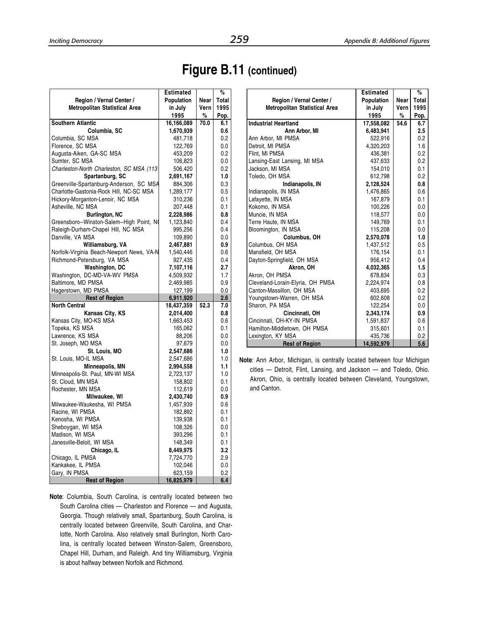# **Figure B.11 (continued)**

|                                           | <b>Estimated</b> |      | %     |
|-------------------------------------------|------------------|------|-------|
| Region / Vernal Center /                  | Population       | Near | Total |
| Metropolitan Statistical Area             | in July          | Vern | 1995  |
|                                           | 1995             | %    | Pop.  |
| <b>Southern Atlantic</b>                  | 16,166,089       | 70.0 | 6.1   |
| Columbia, SC                              | 1,670,939        |      | 0.6   |
| Columbia, SC MSA                          | 481,718          |      | 0.2   |
| Florence, SC MSA                          | 122,769          |      | 0.0   |
| Augusta-Aiken, GA-SC MSA                  | 453,209          |      | 0.2   |
| Sumter, SC MSA                            | 106,823          |      | 0.0   |
| Charleston-North Charleston, SC MSA (113  | 506,420          |      | 0.2   |
| Spartanburg, SC                           | 2,691,167        |      | 1.0   |
| Greenville-Spartanburg-Anderson, SC MSA   | 884,306          |      | 0.3   |
| Charlotte-Gastonia-Rock Hill, NC-SC MSA   | 1,289,177        |      | 0.5   |
| Hickory-Morganton-Lenoir, NC MSA          | 310,236          |      | 0.1   |
| Asheville, NC MSA                         | 207,448          |      | 0.1   |
| <b>Burlington, NC</b>                     | 2,228,986        |      | 0.8   |
| Greensboro--Winston-Salem--High Point, NO | 1,123,840        |      | 0.4   |
| Raleigh-Durham-Chapel Hill, NC MSA        | 995,256          |      | 0.4   |
| Danville, VA MSA                          | 109,890          |      | 0.0   |
| Williamsburg, VA                          | 2,467,881        |      | 0.9   |
| Norfolk-Virginia Beach-Newport News, VA-N | 1,540,446        |      | 0.6   |
| Richmond-Petersburg, VA MSA               | 927,435          |      | 0.4   |
| Washington, DC                            | 7,107,116        |      | 2.7   |
| Washington, DC-MD-VA-WV PMSA              | 4,509,932        |      | 1.7   |
| Baltimore, MD PMSA                        | 2,469,985        |      | 0.9   |
| Hagerstown, MD PMSA                       | 127,199          |      | 0.0   |
| <b>Rest of Region</b>                     | 6,911,920        |      | 2.6   |
| <b>North Central</b>                      | 18,437,359       | 52.3 | 7.0   |
| Kansas City, KS                           | 2,014,400        |      | 0.8   |
| Kansas City, MO-KS MSA                    | 1,663,453        |      | 0.6   |
| Topeka, KS MSA                            | 165,062          |      | 0.1   |
| Lawrence, KS MSA                          | 88,206           |      | 0.0   |
| St. Joseph, MO MSA                        | 97,679           |      | 0.0   |
| St. Louis, MO                             | 2,547,686        |      | 1.0   |
| St. Louis, MO-IL MSA                      | 2,547,686        |      | 1.0   |
| Minneapolis, MN                           | 2,994,558        |      | 1.1   |
| Minneapolis-St. Paul, MN-WI MSA           | 2,723,137        |      | 1.0   |
| St. Cloud, MN MSA                         | 158,802          |      | 0.1   |
| Rochester, MN MSA                         | 112,619          |      | 0.0   |
| Milwaukee, WI                             | 2,430,740        |      | 0.9   |
| Milwaukee-Waukesha, WI PMSA               | 1,457,939        |      | 0.6   |
| Racine, WI PMSA                           | 182,892          |      | 0.1   |
| Kenosha, WI PMSA                          | 139,938          |      | 0.1   |
| Sheboygan, WI MSA                         | 108,326          |      | 0.0   |
| Madison, WI MSA                           | 393,296          |      | 0.1   |
| Janesville-Beloit, WI MSA                 | 148,349          |      | 0.1   |
| Chicago, IL                               | 8,449,975        |      | 3.2   |
| Chicago, IL PMSA                          | 7,724,770        |      | 2.9   |
| Kankakee, IL PMSA                         | 102,046          |      | 0.0   |
| Gary, IN PMSA                             | 623,159          |      | 0.2   |
| <b>Rest of Region</b>                     | 16,825,979       |      | 6.4   |

**Note**: Columbia, South Carolina, is centrally located between two South Carolina cities — Charleston and Florence — and Augusta, Georgia. Though relatively small, Spartanburg, South Carolina, is centrally located between Greenville, South Carolina, and Charlotte, North Carolina. Also relatively small Burlington, North Carolina, is centrally located between Winston-Salem, Greensboro, Chapel Hill, Durham, and Raleigh. And tiny Williamsburg, Virginia is about halfway between Norfolk and Richmond.

|                                      | <b>Estimated</b> |      | %     |
|--------------------------------------|------------------|------|-------|
| Region / Vernal Center /             | Population       | Near | Total |
| <b>Metropolitan Statistical Area</b> | in July          | Vern | 1995  |
|                                      | 1995             | %    | Pop.  |
| <b>Industrial Heartland</b>          | 17,558,082       | 54.6 | 6.7   |
| Ann Arbor, MI                        | 6,483,941        |      | 2.5   |
| Ann Arbor. MI PMSA                   | 522,916          |      | 0.2   |
| Detroit, MI PMSA                     | 4,320,203        |      | 1.6   |
| Flint, MI PMSA                       | 436,381          |      | 0.2   |
| Lansing-East Lansing, MI MSA         | 437,633          |      | 0.2   |
| Jackson, MI MSA                      | 154.010          |      | 0.1   |
| Toledo, OH MSA                       | 612,798          |      | 0.2   |
| Indianapolis, IN                     | 2,128,524        |      | 0.8   |
| Indianapolis, IN MSA                 | 1,476,865        |      | 0.6   |
| Lafayette, IN MSA                    | 167,879          |      | 0.1   |
| Kokomo. IN MSA                       | 100,226          |      | 0.0   |
| Muncie, IN MSA                       | 118,577          |      | 0.0   |
| Terre Haute, IN MSA                  | 149,769          |      | 0.1   |
| Bloomington, IN MSA                  | 115,208          |      | 0.0   |
| Columbus, OH                         | 2,570,078        |      | 1.0   |
| Columbus, OH MSA                     | 1.437.512        |      | 0.5   |
| Mansfield, OH MSA                    | 176,154          |      | 0.1   |
| Dayton-Springfield, OH MSA           | 956,412          |      | 0.4   |
| Akron, OH                            | 4,032,365        |      | 1.5   |
| Akron, OH PMSA                       | 678,834          |      | 0.3   |
| Cleveland-Lorain-Elyria, OH PMSA     | 2,224,974        |      | 0.8   |
| Canton-Massillon, OH MSA             | 403,695          |      | 0.2   |
| Youngstown-Warren, OH MSA            | 602,608          |      | 0.2   |
| Sharon, PA MSA                       | 122,254          |      | 0.0   |
| Cincinnati, OH                       | 2,343,174        |      | 0.9   |
| Cincinnati, OH-KY-IN PMSA            | 1,591,837        |      | 0.6   |
| Hamilton-Middletown, OH PMSA         | 315,601          |      | 0.1   |
| Lexington, KY MSA                    | 435,736          |      | 0.2   |
| <b>Rest of Region</b>                | 14,592,979       |      | 5.6   |

**Note**: Ann Arbor, Michigan, is centrally located between four Michigan cities — Detroit, Flint, Lansing, and Jackson — and Toledo, Ohio. Akron, Ohio, is centrally located between Cleveland, Youngstown, and Canton.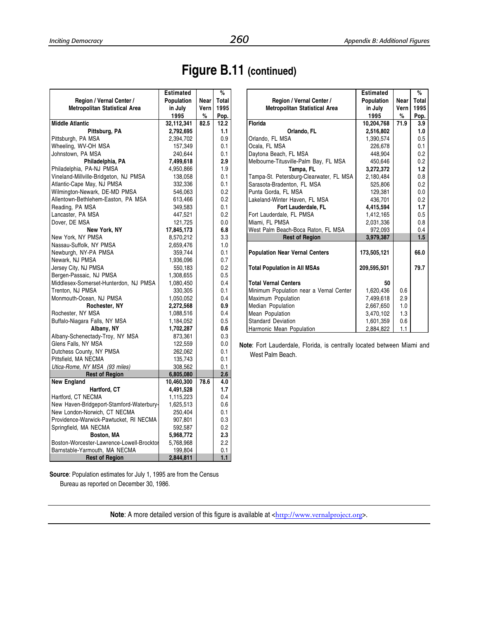**Estimated %**

# **Figure B.11 (continued)**

|                                           | <b>Estimated</b> |      | %       |
|-------------------------------------------|------------------|------|---------|
| Region / Vernal Center /                  | Population       | Near | Total   |
| Metropolitan Statistical Area             | in July          | Vern | 1995    |
|                                           | 1995             | %    | Pop.    |
| <b>Middle Atlantic</b>                    | 32,112,341       | 82.5 | 12.2    |
| Pittsburg, PA                             | 2,792,695        |      | 1.1     |
| Pittsburgh, PA MSA                        | 2,394,702        |      | 0.9     |
| Wheeling, WV-OH MSA                       | 157,349          |      | 0.1     |
| Johnstown, PA MSA                         | 240,644          |      | 0.1     |
| Philadelphia, PA                          | 7,499,618        |      | 2.9     |
| Philadelphia, PA-NJ PMSA                  | 4,950,866        |      | 1.9     |
| Vineland-Millville-Bridgeton, NJ PMSA     | 138,058          |      | 0.1     |
| Atlantic-Cape May, NJ PMSA                | 332,336          |      | 0.1     |
| Wilmington-Newark, DE-MD PMSA             | 546,063          |      | 0.2     |
| Allentown-Bethlehem-Easton, PA MSA        | 613,466          |      | 0.2     |
| Reading, PA MSA                           | 349,583          |      | 0.1     |
| Lancaster, PA MSA                         | 447,521          |      | 0.2     |
| Dover, DE MSA                             | 121,725          |      | 0.0     |
| New York, NY                              | 17,845,173       |      | 6.8     |
| New York, NY PMSA                         | 8,570,212        |      | 3.3     |
| Nassau-Suffolk, NY PMSA                   | 2,659,476        |      | 1.0     |
| Newburgh, NY-PA PMSA                      | 359,744          |      | 0.1     |
| Newark, NJ PMSA                           | 1,936,096        |      | 0.7     |
| Jersey City, NJ PMSA                      | 550,183          |      | 0.2     |
| Bergen-Passaic, NJ PMSA                   | 1,308,655        |      | 0.5     |
| Middlesex-Somerset-Hunterdon, NJ PMSA     | 1,080,450        |      | 0.4     |
| Trenton, NJ PMSA                          | 330,305          |      | 0.1     |
| Monmouth-Ocean, NJ PMSA                   | 1,050,052        |      | 0.4     |
| Rochester, NY                             | 2,272,568        |      | 0.9     |
| Rochester, NY MSA                         | 1,088,516        |      | 0.4     |
| Buffalo-Niagara Falls, NY MSA             | 1,184,052        |      | 0.5     |
| Albany, NY                                | 1,702,287        |      | 0.6     |
| Albany-Schenectady-Troy, NY MSA           | 873,361          |      | 0.3     |
| Glens Falls, NY MSA                       | 122,559          |      | 0.0     |
| Dutchess County, NY PMSA                  | 262,062          |      | 0.1     |
| Pittsfield, MA NECMA                      | 135,743          |      | 0.1     |
| Utica-Rome, NY MSA (93 miles)             | 308,562          |      | 0.1     |
| <b>Rest of Region</b>                     | 6,805,080        |      | 2.6     |
| <b>New England</b>                        | 10,460,300       | 78.6 | 4.0     |
| Hartford, CT                              | 4,491,528        |      | 1.7     |
| Hartford, CT NECMA                        | 1,115,223        |      | 0.4     |
| New Haven-Bridgeport-Stamford-Waterbury-  | 1,625,513        |      | 0.6     |
| New London-Norwich, CT NECMA              | 250,404          |      | 0.1     |
| Providence-Warwick-Pawtucket, RI NECMA    | 907,801          |      | 0.3     |
| Springfield, MA NECMA                     | 592,587          |      | 0.2     |
| Boston, MA                                | 5,968,772        |      | 2.3     |
| Boston-Worcester-Lawrence-Lowell-Brocktor | 5,768,968        |      | $2.2\,$ |
| Barnstable-Yarmouth, MA NECMA             | 199,804          |      | 0.1     |
| <b>Rest of Region</b>                     | 2,844,811        |      | 1.1     |

| Region / Vernal Center /                | Population  | Near | Total |
|-----------------------------------------|-------------|------|-------|
| Metropolitan Statistical Area           | in July     | Vern | 1995  |
|                                         | 1995        | %    | Pop.  |
| Florida                                 | 10,204,768  | 71.9 | 3.9   |
| Orlando, FL                             | 2,516,802   |      | 1.0   |
| Orlando, FL MSA                         | 1.390.574   |      | 0.5   |
| Ocala, FL MSA                           | 226.678     |      | 0.1   |
| Daytona Beach, FL MSA                   | 448.904     |      | 0.2   |
| Melbourne-Titusville-Palm Bay, FL MSA   | 450.646     |      | 0.2   |
| Tampa, FL                               | 3,272,372   |      | 1.2   |
| Tampa-St. Petersburg-Clearwater, FL MSA | 2,180,484   |      | 0.8   |
| Sarasota-Bradenton, FL MSA              | 525,806     |      | 0.2   |
| Punta Gorda, FL MSA                     | 129,381     |      | 0.0   |
| Lakeland-Winter Haven, FL MSA           | 436,701     |      | 0.2   |
| Fort Lauderdale, FL                     | 4,415,594   |      | 1.7   |
| Fort Lauderdale, FL PMSA                | 1,412,165   |      | 0.5   |
| Miami, FL PMSA                          | 2,031,336   |      | 0.8   |
| West Palm Beach-Boca Raton, FL MSA      | 972,093     |      | 0.4   |
| <b>Rest of Region</b>                   | 3,979,387   |      | 1.5   |
| <b>Population Near Vernal Centers</b>   | 173,505,121 |      | 66.0  |
| <b>Total Population in All MSAs</b>     | 209,595,501 |      | 79.7  |
| <b>Total Vernal Centers</b>             | 50          |      |       |
| Minimum Population near a Vernal Center | 1,620,436   | 0.6  |       |
| Maximum Population                      | 7,499,618   | 2.9  |       |
| Median Population                       | 2,667,650   | 1.0  |       |
| Mean Population                         | 3,470,102   | 1.3  |       |
| <b>Standard Deviation</b>               | 1,601,359   | 0.6  |       |
| Harmonic Mean Population                | 2,884,822   | 1.1  |       |

**Note**: Fort Lauderdale, Florida, is centrally located between Miami and West Palm Beach.

**Source**: Population estimates for July 1, 1995 are from the Census Bureau as reported on December 30, 1986.

Note: A more detailed version of this figure is available at <<http://www.vernalproject.org>>.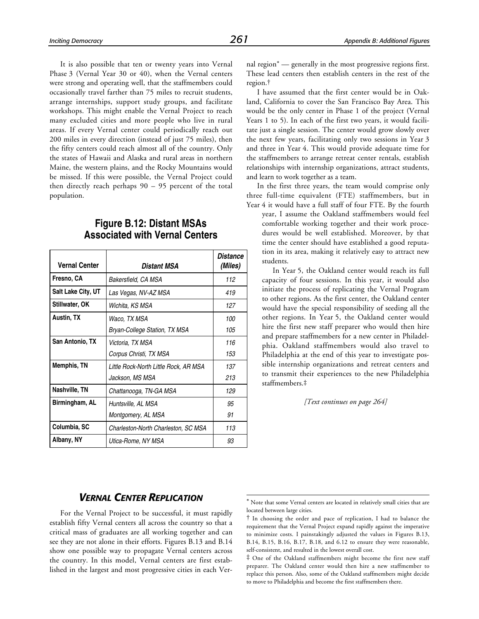It is also possible that ten or twenty years into Vernal Phase 3 (Vernal Year 30 or 40), when the Vernal centers were strong and operating well, that the staffmembers could occasionally travel farther than 75 miles to recruit students, arrange internships, support study groups, and facilitate workshops. This might enable the Vernal Project to reach many excluded cities and more people who live in rural areas. If every Vernal center could periodically reach out 200 miles in every direction (instead of just 75 miles), then the fifty centers could reach almost all of the country. Only the states of Hawaii and Alaska and rural areas in northern Maine, the western plains, and the Rocky Mountains would be missed. If this were possible, the Vernal Project could then directly reach perhaps 90 – 95 percent of the total population.

### **Figure B.12: Distant MSAs Associated with Vernal Centers**

| <b>Vernal Center</b> | Distant MSA                                              | Distance<br>(Miles) |
|----------------------|----------------------------------------------------------|---------------------|
| Fresno, CA           | Bakersfield, CA MSA                                      | 112                 |
| Salt Lake City, UT   | Las Vegas, NV-AZ MSA                                     | 419                 |
| Stillwater, OK       | Wichita, KS MSA                                          | 127                 |
| Austin, TX           | Waco, TX MSA<br>Bryan-College Station, TX MSA            | 100<br>105          |
| San Antonio, TX      | Victoria, TX MSA<br>Corpus Christi, TX MSA               | 116<br>153          |
| Memphis, TN          | Little Rock-North Little Rock, AR MSA<br>Jackson, MS MSA | 137<br>213          |
| Nashville, TN        | Chattanooga, TN-GA MSA                                   | 129                 |
| Birmingham, AL       | Huntsville, AL MSA<br>Montgomery, AL MSA                 | 95<br>91            |
| Columbia, SC         | Charleston-North Charleston, SC MSA                      | 113                 |
| Albany, NY           | Utica-Rome, NY MSA                                       | 93                  |

nal region\* — generally in the most progressive regions first. These lead centers then establish centers in the rest of the region.†

I have assumed that the first center would be in Oakland, California to cover the San Francisco Bay Area. This would be the only center in Phase 1 of the project (Vernal Years 1 to 5). In each of the first two years, it would facilitate just a single session. The center would grow slowly over the next few years, facilitating only two sessions in Year 3 and three in Year 4. This would provide adequate time for the staffmembers to arrange retreat center rentals, establish relationships with internship organizations, attract students, and learn to work together as a team.

In the first three years, the team would comprise only three full-time equivalent (FTE) staffmembers, but in Year 4 it would have a full staff of four FTE. By the fourth

year, I assume the Oakland staffmembers would feel comfortable working together and their work procedures would be well established. Moreover, by that time the center should have established a good reputation in its area, making it relatively easy to attract new students.

In Year 5, the Oakland center would reach its full capacity of four sessions. In this year, it would also initiate the process of replicating the Vernal Program to other regions. As the first center, the Oakland center would have the special responsibility of seeding all the other regions. In Year 5, the Oakland center would hire the first new staff preparer who would then hire and prepare staffmembers for a new center in Philadelphia. Oakland staffmembers would also travel to Philadelphia at the end of this year to investigate possible internship organizations and retreat centers and to transmit their experiences to the new Philadelphia staffmembers.‡

*[Text continues on page 264]*

### *VERNAL CENTER REPLICATION*

For the Vernal Project to be successful, it must rapidly establish fifty Vernal centers all across the country so that a critical mass of graduates are all working together and can see they are not alone in their efforts. Figures B.13 and B.14 show one possible way to propagate Vernal centers across the country. In this model, Vernal centers are first established in the largest and most progressive cities in each Ver-

\* Note that some Vernal centers are located in relatively small cities that are located between large cities.

 $\overline{a}$ 

<sup>†</sup> In choosing the order and pace of replication, I had to balance the requirement that the Vernal Project expand rapidly against the imperative to minimize costs. I painstakingly adjusted the values in Figures B.13, B.14, B.15, B.16, B.17, B.18, and 6.12 to ensure they were reasonable, self-consistent, and resulted in the lowest overall cost.

<sup>‡</sup> One of the Oakland staffmembers might become the first new staff preparer. The Oakland center would then hire a new staffmember to replace this person. Also, some of the Oakland staffmembers might decide to move to Philadelphia and become the first staffmembers there.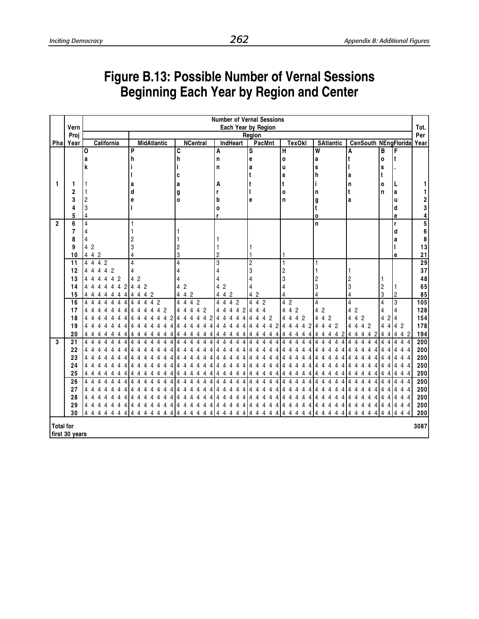# **Figure B.13: Possible Number of Vernal Sessions Beginning Each Year by Region and Center**

|                  |                 | <b>Number of Vernal Sessions</b>                                      |                                    |                                    |                       |                               |                                       |                               |                                            |                                    |                 |  |
|------------------|-----------------|-----------------------------------------------------------------------|------------------------------------|------------------------------------|-----------------------|-------------------------------|---------------------------------------|-------------------------------|--------------------------------------------|------------------------------------|-----------------|--|
|                  | Vern            |                                                                       |                                    |                                    |                       | Each Year by Region           |                                       |                               |                                            |                                    | Tot.            |  |
|                  | Proj            |                                                                       |                                    |                                    |                       | Region                        |                                       |                               |                                            |                                    | Per             |  |
|                  | Pha Year        | California                                                            | <b>MidAtlantic</b>                 | <b>NCentral</b>                    | IndHeart              | <b>PacMnt</b>                 | <b>TexOkl</b>                         | <b>SAtlantic</b>              |                                            | CenSouth NEngFlorida               | Year            |  |
|                  |                 | I٥                                                                    | P                                  | C                                  | A                     | S                             | H                                     | $\overline{\mathsf{w}}$       | A                                          | B<br>F                             |                 |  |
|                  |                 | a                                                                     | h                                  | h                                  | n                     | е                             | $\mathbf{o}$                          | a                             |                                            | It.<br>$\mathbf{o}$                |                 |  |
|                  |                 | k                                                                     |                                    |                                    | n                     | a                             | u                                     | S                             |                                            | S                                  |                 |  |
|                  |                 |                                                                       |                                    | c                                  |                       | t                             | s                                     | h                             | а                                          | t                                  |                 |  |
| 1                | 1               |                                                                       | а                                  | a                                  | А                     |                               |                                       |                               | n                                          | $\mathbf{o}$<br>L                  |                 |  |
|                  | $\overline{2}$  |                                                                       | d                                  | g                                  | r                     |                               | o                                     | n                             |                                            | n<br>a                             |                 |  |
|                  | 3               | $\overline{c}$                                                        | е                                  | $\mathbf{o}$                       | b                     | e                             | n                                     | g                             | a                                          | u                                  |                 |  |
|                  |                 | 3                                                                     |                                    |                                    | $\mathbf{o}$          |                               |                                       | t                             |                                            | d                                  | 2<br>3          |  |
|                  | 5               | 4                                                                     |                                    |                                    | r                     |                               |                                       | O                             |                                            | е                                  | 4               |  |
| $\overline{2}$   | 6               | $\overline{4}$                                                        | 1                                  |                                    |                       |                               |                                       | n                             |                                            | r                                  | 5               |  |
|                  | 7               | 4                                                                     |                                    |                                    |                       |                               |                                       |                               |                                            | d                                  | 6               |  |
|                  | 8               | 4                                                                     |                                    |                                    |                       |                               |                                       |                               |                                            | a                                  | 8               |  |
|                  | 9               | 4 2                                                                   | 3                                  |                                    |                       |                               |                                       |                               |                                            |                                    | 13              |  |
|                  | 10              | 4 4 2                                                                 | 4                                  | 3                                  | $\overline{2}$        |                               |                                       |                               |                                            | е                                  | 21              |  |
|                  | $\overline{11}$ | 4 4 4 2                                                               | $\overline{4}$                     | $\overline{4}$                     | 3                     | $\overline{2}$                | 1                                     |                               |                                            |                                    | $\overline{29}$ |  |
|                  | 12              | 4 4 4 2<br>4                                                          | 4                                  | 4                                  | 4                     | 3                             | 2                                     |                               |                                            |                                    | 37              |  |
|                  | 13              | $\overline{2}$<br>4<br>4<br>4<br>4<br>4                               | $\overline{c}$<br>4                |                                    | 4                     | 4                             | 3                                     | 2                             | 2                                          | 1                                  | 48              |  |
|                  | 14              | $\overline{2}$<br>4<br>4<br>4<br>4<br>4<br>4                          | 4 4 2                              | $\overline{2}$<br>4                | 4 2                   | 4                             |                                       | 3                             | 3                                          | $\overline{2}$<br>1                | 65              |  |
|                  | 15              | 4<br>4<br>4<br>4<br>4<br>4<br>4                                       | 4<br>$\overline{4}$<br>4<br>-2     | 4<br>4 2                           | 4 4 2                 | 4 2                           |                                       | 4                             | 4                                          | 3<br>$\sqrt{2}$                    | 85              |  |
|                  | 16              | 4<br>4<br>4<br>Δ<br>Δ<br>4<br>4                                       | $\overline{2}$<br>4<br>4<br>4<br>4 | 4<br>4 2<br>4                      | 4 2<br>4<br>4         | 4 <sub>2</sub><br>4           | 4 2                                   | 4                             | 4                                          | $\boldsymbol{3}$<br>$\overline{4}$ | 105             |  |
|                  | 17              | 4                                                                     | 4<br>2                             | 4<br>$\overline{2}$<br>4<br>4<br>4 | 4<br>2<br>4<br>4      | 4<br>4<br>4                   | $\overline{4}$<br>$\overline{2}$<br>4 | 4 2                           | 4 2                                        | 4<br>4                             | 128             |  |
|                  | 18              | 4                                                                     | 2<br>4<br>Δ<br>4                   | 4<br>4<br>4<br>4                   | 4<br>4                | $\overline{2}$<br>4<br>4<br>4 | $\overline{2}$<br>4<br>4<br>4         | $\overline{2}$<br>4<br>4      | $\overline{2}$<br>4<br>4                   | 4<br>$\overline{2}$<br>4           | 154             |  |
|                  | 19              | Δ                                                                     | Δ                                  | Δ<br>Δ<br>Δ                        | Δ<br>Δ                | 2<br>4<br>Δ<br>Δ              | 2<br>4<br>4<br>Δ<br>Δ                 | $\overline{2}$<br>4<br>4<br>Δ | $\overline{4}$<br>$\overline{2}$<br>4<br>Δ | 4<br>42<br>4                       | 178             |  |
|                  | 20              | 4                                                                     |                                    |                                    |                       |                               |                                       |                               | 2<br>4                                     | 4 2<br>4<br>4<br>4                 | 194             |  |
| $\overline{3}$   | 21              | 4<br>4<br>4<br>4<br>Δ<br>4<br>Δ                                       | 4<br>Δ<br>Δ                        | 4<br>Δ<br>Δ                        | Δ<br>Δ<br>Δ<br>4      | 4<br>Δ<br>Δ<br>4              | 4<br>4<br>4<br>Δ                      | 4<br>Δ<br>4                   | 4<br>4<br>Δ<br>Δ                           | 4<br>4<br>4                        | 200             |  |
|                  | 22              | 4<br>Δ                                                                |                                    |                                    |                       |                               |                                       |                               |                                            | 4<br>4<br>$\overline{4}$<br>Δ      | 200             |  |
|                  | 23              | 4                                                                     |                                    |                                    |                       |                               |                                       |                               |                                            | 44<br>4<br>Δ                       | 200             |  |
|                  | 24              | 4<br>4<br>4                                                           |                                    |                                    | 4                     |                               |                                       |                               | 4                                          | $4\overline{4}$<br>4<br>4          | 200             |  |
|                  | 25              | 4<br>4<br>4<br>4<br>4<br>4                                            |                                    |                                    |                       |                               |                                       |                               |                                            | 4<br>4                             | 200             |  |
|                  | 26              | $\overline{\Lambda}$<br>$\overline{\Lambda}$<br>4<br>Δ<br>Δ<br>4<br>Δ |                                    | $\Lambda$<br>л                     | Δ                     |                               | Δ                                     |                               |                                            | $4\overline{4}$<br>Δ<br>4          | 200             |  |
|                  | 27              | Δ<br>Δ                                                                |                                    |                                    | Δ                     |                               |                                       |                               | Λ<br>Δ                                     | 4<br>4<br>4<br>-4                  | 200             |  |
|                  | 28              | 4<br>4                                                                |                                    |                                    |                       |                               |                                       |                               |                                            | 44<br>4                            | 200             |  |
|                  | 29              | 44<br>4<br>4<br>4<br>4<br>4                                           | 4<br>4<br>4<br>4<br>4              | 4<br>4<br>4<br>4<br>4              | 4<br>4<br>4<br>4      | 4<br>4<br>4                   | 4<br>4<br>4                           | 4<br>4<br>4                   | 4<br>4                                     | 44<br>4<br>4<br>4                  | 200             |  |
|                  | 30              | 44<br>4<br>4<br>4<br>4<br>4                                           | 4<br>4<br>4<br>4<br>4<br>4<br>4    | 4<br>4<br>4<br>4<br>4<br>4         | 4<br>4<br>4<br>4<br>4 | 4<br>4<br>4<br>4              | 4<br>4<br>Δ<br>Δ                      | 4<br>Δ<br>Δ                   | 4<br>Δ<br>4<br>Δ                           | 4<br>4<br>4<br>4<br>4              | 200             |  |
| <b>Total for</b> | first 30 years  |                                                                       |                                    |                                    |                       |                               |                                       |                               |                                            |                                    | 3087            |  |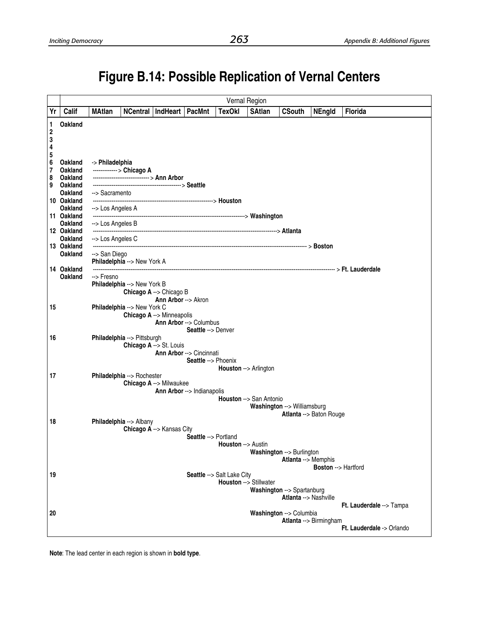# **Figure B.14: Possible Replication of Vernal Centers**

| <b>TexOkl</b><br>Calif<br>NCentral   IndHeart   PacMnt<br><b>SAtlan</b><br>Yr<br><b>MAtlan</b><br><b>CSouth</b><br><b>Florida</b><br><b>NEngld</b>                                                                                                                                         |                           |
|--------------------------------------------------------------------------------------------------------------------------------------------------------------------------------------------------------------------------------------------------------------------------------------------|---------------------------|
|                                                                                                                                                                                                                                                                                            |                           |
| <b>Oakland</b><br>1<br>$\boldsymbol{2}$<br>3<br>4                                                                                                                                                                                                                                          |                           |
| 5<br>6<br><b>Oakland</b><br>-> Philadelphia<br>7<br>-------------> Chicago A<br><b>Oakland</b><br>-------------------------------> Ann Arbor<br>8<br><b>Oakland</b><br><b>Oakland</b><br>9<br>Oakland<br>--> Sacramento<br>10 Oakland<br><b>Oakland</b><br>--> Los Angeles A<br>11 Oakland |                           |
| <b>Oakland</b><br>--> Los Angeles B<br>12 Oakland                                                                                                                                                                                                                                          |                           |
| <b>Oakland</b><br>--> Los Angeles C                                                                                                                                                                                                                                                        |                           |
| 13 Oakland<br><b>Oakland</b><br>--> San Diego<br>Philadelphia -- > New York A                                                                                                                                                                                                              |                           |
| 14 Oakland<br><b>Oakland</b><br>--> Fresno                                                                                                                                                                                                                                                 |                           |
| Philadelphia --> New York B<br>Chicago A --> Chicago B<br><b>Ann Arbor --&gt; Akron</b>                                                                                                                                                                                                    |                           |
| Philadelphia --> New York C<br>15<br>Chicago A --> Minneapolis<br>Ann Arbor --> Columbus<br>Seattle --> Denver                                                                                                                                                                             |                           |
| Philadelphia --> Pittsburgh<br>16<br>Chicago A --> St. Louis<br><b>Ann Arbor --&gt; Cincinnati</b><br>Seattle --> Phoenix<br>Houston --> Arlington                                                                                                                                         |                           |
| 17<br>Philadelphia --> Rochester<br>Chicago A --> Milwaukee<br>Ann Arbor --> Indianapolis<br>Houston --> San Antonio<br>Washington --> Williamsburg                                                                                                                                        |                           |
| Atlanta --> Baton Rouge<br>18<br>Philadelphia --> Albany                                                                                                                                                                                                                                   |                           |
| Chicago A --> Kansas City<br>Seattle --> Portland<br><b>Houston</b> --> Austin<br>Washington --> Burlington<br>Atlanta --> Memphis<br><b>Boston --&gt; Hartford</b>                                                                                                                        |                           |
| 19<br>Seattle --> Salt Lake City                                                                                                                                                                                                                                                           |                           |
| Houston --> Stillwater<br>Washington --> Spartanburg<br>Atlanta --> Nashville                                                                                                                                                                                                              |                           |
|                                                                                                                                                                                                                                                                                            | Ft. Lauderdale --> Tampa  |
| 20<br>Washington --> Columbia<br>Atlanta --> Birmingham                                                                                                                                                                                                                                    | Ft. Lauderdale -> Orlando |

**Note**: The lead center in each region is shown in **bold type**.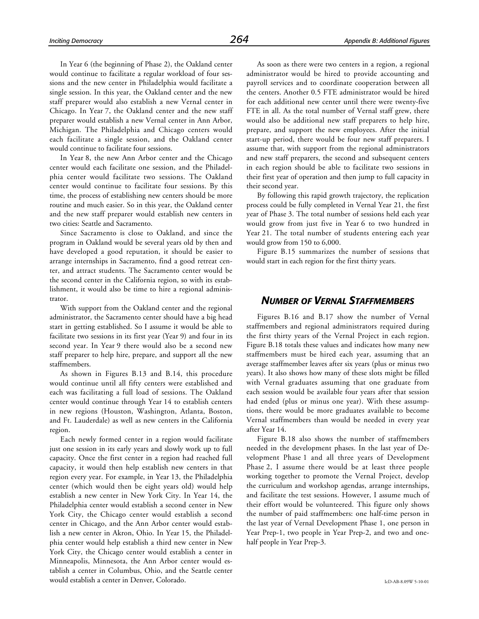In Year 6 (the beginning of Phase 2), the Oakland center would continue to facilitate a regular workload of four sessions and the new center in Philadelphia would facilitate a single session. In this year, the Oakland center and the new staff preparer would also establish a new Vernal center in Chicago. In Year 7, the Oakland center and the new staff preparer would establish a new Vernal center in Ann Arbor, Michigan. The Philadelphia and Chicago centers would each facilitate a single session, and the Oakland center would continue to facilitate four sessions.

In Year 8, the new Ann Arbor center and the Chicago center would each facilitate one session, and the Philadelphia center would facilitate two sessions. The Oakland center would continue to facilitate four sessions. By this time, the process of establishing new centers should be more routine and much easier. So in this year, the Oakland center and the new staff preparer would establish new centers in two cities: Seattle and Sacramento.

Since Sacramento is close to Oakland, and since the program in Oakland would be several years old by then and have developed a good reputation, it should be easier to arrange internships in Sacramento, find a good retreat center, and attract students. The Sacramento center would be the second center in the California region, so with its establishment, it would also be time to hire a regional administrator.

With support from the Oakland center and the regional administrator, the Sacramento center should have a big head start in getting established. So I assume it would be able to facilitate two sessions in its first year (Year 9) and four in its second year. In Year 9 there would also be a second new staff preparer to help hire, prepare, and support all the new staffmembers.

As shown in Figures B.13 and B.14, this procedure would continue until all fifty centers were established and each was facilitating a full load of sessions. The Oakland center would continue through Year 14 to establish centers in new regions (Houston, Washington, Atlanta, Boston, and Ft. Lauderdale) as well as new centers in the California region.

Each newly formed center in a region would facilitate just one session in its early years and slowly work up to full capacity. Once the first center in a region had reached full capacity, it would then help establish new centers in that region every year. For example, in Year 13, the Philadelphia center (which would then be eight years old) would help establish a new center in New York City. In Year 14, the Philadelphia center would establish a second center in New York City, the Chicago center would establish a second center in Chicago, and the Ann Arbor center would establish a new center in Akron, Ohio. In Year 15, the Philadelphia center would help establish a third new center in New York City, the Chicago center would establish a center in Minneapolis, Minnesota, the Ann Arbor center would establish a center in Columbus, Ohio, and the Seattle center would establish a center in Denver, Colorado.

As soon as there were two centers in a region, a regional administrator would be hired to provide accounting and payroll services and to coordinate cooperation between all the centers. Another 0.5 FTE administrator would be hired for each additional new center until there were twenty-five FTE in all. As the total number of Vernal staff grew, there would also be additional new staff preparers to help hire, prepare, and support the new employees. After the initial start-up period, there would be four new staff preparers. I assume that, with support from the regional administrators and new staff preparers, the second and subsequent centers in each region should be able to facilitate two sessions in their first year of operation and then jump to full capacity in their second year.

By following this rapid growth trajectory, the replication process could be fully completed in Vernal Year 21, the first year of Phase 3. The total number of sessions held each year would grow from just five in Year 6 to two hundred in Year 21. The total number of students entering each year would grow from 150 to 6,000.

Figure B.15 summarizes the number of sessions that would start in each region for the first thirty years.

### *NUMBER OF VERNAL STAFFMEMBERS*

Figures B.16 and B.17 show the number of Vernal staffmembers and regional administrators required during the first thirty years of the Vernal Project in each region. Figure B.18 totals these values and indicates how many new staffmembers must be hired each year, assuming that an average staffmember leaves after six years (plus or minus two years). It also shows how many of these slots might be filled with Vernal graduates assuming that one graduate from each session would be available four years after that session had ended (plus or minus one year). With these assumptions, there would be more graduates available to become Vernal staffmembers than would be needed in every year after Year 14.

Figure B.18 also shows the number of staffmembers needed in the development phases. In the last year of Development Phase 1 and all three years of Development Phase 2, I assume there would be at least three people working together to promote the Vernal Project, develop the curriculum and workshop agendas, arrange internships, and facilitate the test sessions. However, I assume much of their effort would be volunteered. This figure only shows the number of paid staffmembers: one half-time person in the last year of Vernal Development Phase 1, one person in Year Prep-1, two people in Year Prep-2, and two and onehalf people in Year Prep-3.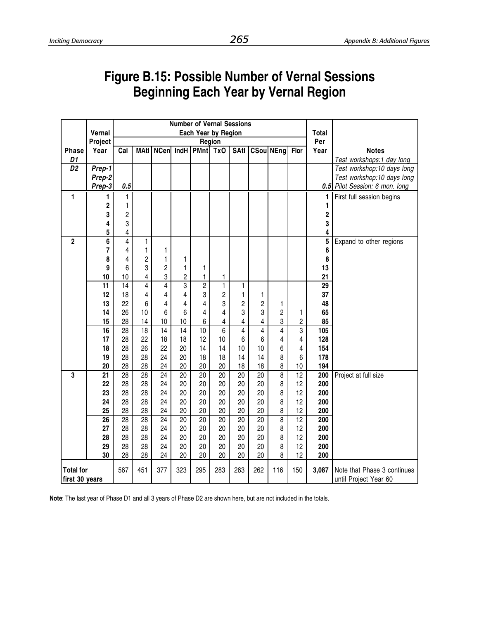# **Figure B.15: Possible Number of Vernal Sessions Beginning Each Year by Vernal Region**

|                  |                 | <b>Number of Vernal Sessions</b> |                 |                 |                         |                 |                 |                         |                 |                    |                 |                         |                                |
|------------------|-----------------|----------------------------------|-----------------|-----------------|-------------------------|-----------------|-----------------|-------------------------|-----------------|--------------------|-----------------|-------------------------|--------------------------------|
|                  | Vernal          | Each Year by Region              |                 |                 |                         |                 |                 |                         |                 |                    |                 | <b>Total</b>            |                                |
|                  | Project         |                                  |                 |                 |                         |                 | Region          |                         |                 |                    |                 | Per                     |                                |
| <b>Phase</b>     | Year            | Cal                              | <b>MAtl</b>     | <b>NCen</b>     |                         | $IndH$ PMnt     | Tx <sub>0</sub> | <b>SAtl</b>             |                 | <b>CSoul NEngl</b> | Flor            | Year                    | <b>Notes</b>                   |
| D1               |                 |                                  |                 |                 |                         |                 |                 |                         |                 |                    |                 |                         | Test workshops:1 day long      |
| $\overline{D2}$  | Prep-1          |                                  |                 |                 |                         |                 |                 |                         |                 |                    |                 |                         | Test workshop:10 days long     |
|                  | Prep-2          |                                  |                 |                 |                         |                 |                 |                         |                 |                    |                 |                         | Test workshop:10 days long     |
|                  | Prep-3          | 0.5                              |                 |                 |                         |                 |                 |                         |                 |                    |                 |                         | 0.5 Pilot Session: 6 mon. long |
| 1                | 1               | 1                                |                 |                 |                         |                 |                 |                         |                 |                    |                 | 1                       | First full session begins      |
|                  | 2               | 1                                |                 |                 |                         |                 |                 |                         |                 |                    |                 | 1                       |                                |
|                  | 3               | $\overline{c}$                   |                 |                 |                         |                 |                 |                         |                 |                    |                 | $\overline{\mathbf{c}}$ |                                |
|                  | 4               | 3                                |                 |                 |                         |                 |                 |                         |                 |                    |                 | 3                       |                                |
|                  | 5               | 4                                |                 |                 |                         |                 |                 |                         |                 |                    |                 | 4                       |                                |
| $\overline{2}$   | 6               | $\overline{4}$                   | 1               |                 |                         |                 |                 |                         |                 |                    |                 | 5                       | Expand to other regions        |
|                  | 7               | 4                                | 1               | 1               |                         |                 |                 |                         |                 |                    |                 | 6                       |                                |
|                  | 8               | 4                                | $\overline{c}$  | 1               | 1                       |                 |                 |                         |                 |                    |                 | 8                       |                                |
|                  | 9               | 6                                | 3               | $\overline{c}$  | 1                       | 1               |                 |                         |                 |                    |                 | 13                      |                                |
|                  | 10              | 10                               | 4               | 3               | $\overline{\mathbf{c}}$ | $\mathbf 1$     | 1               |                         |                 |                    |                 | 21                      |                                |
|                  | $\overline{11}$ | $\overline{14}$                  | $\overline{4}$  | $\overline{4}$  | $\overline{3}$          | $\overline{2}$  | $\overline{1}$  | 1                       |                 |                    |                 | $\overline{29}$         |                                |
|                  | 12              | 18                               | 4               | 4               | 4                       | 3               | $\overline{c}$  | 1                       | 1               |                    |                 | 37                      |                                |
|                  | 13              | 22                               | 6               | 4               | 4                       | 4               | 3               | $\overline{c}$          | $\overline{c}$  | 1                  |                 | 48                      |                                |
|                  | 14              | 26                               | 10              | 6               | 6                       | 4               | 4               | 3                       | 3               | $\overline{c}$     | 1               | 65                      |                                |
|                  | 15              | 28                               | 14              | 10              | 10                      | 6               | 4               | $\overline{\mathbf{4}}$ | 4               | 3                  | $\overline{c}$  | 85                      |                                |
|                  | 16              | $\overline{28}$                  | $\overline{18}$ | $\overline{14}$ | $\overline{14}$         | $\overline{10}$ | $\overline{6}$  | $\overline{4}$          | $\overline{4}$  | 4                  | 3               | 105                     |                                |
|                  | 17              | 28                               | 22              | 18              | 18                      | 12              | 10              | 6                       | 6               | 4                  | 4               | 128                     |                                |
|                  | 18              | 28                               | 26              | 22              | 20                      | 14              | 14              | 10                      | 10              | 6                  | 4               | 154                     |                                |
|                  | 19              | 28                               | 28              | 24              | 20                      | 18              | 18              | 14                      | 14              | 8                  | 6               | 178                     |                                |
|                  | 20              | 28                               | 28              | 24              | 20                      | 20              | 20              | 18                      | 18              | 8                  | 10              | 194                     |                                |
| $\overline{3}$   | 21              | 28                               | 28              | 24              | 20                      | 20              | 20              | 20                      | 20              | $\overline{\bf 8}$ | $\overline{12}$ | 200                     | Project at full size           |
|                  | 22              | 28                               | 28              | 24              | 20                      | 20              | 20              | 20                      | 20              | 8                  | 12              | 200                     |                                |
|                  | 23              | 28                               | 28              | 24              | 20                      | 20              | 20              | 20                      | 20              | 8                  | 12              | 200                     |                                |
|                  | 24              | 28                               | 28              | 24              | 20                      | 20              | 20              | 20                      | 20              | 8                  | 12              | 200                     |                                |
|                  | 25              | 28                               | 28              | 24              | 20                      | 20              | 20              | 20                      | 20              | 8                  | 12              | 200                     |                                |
|                  | $\overline{26}$ | $\overline{28}$                  | $\overline{28}$ | $\overline{24}$ | $\overline{20}$         | $\overline{20}$ | $\overline{20}$ | $\overline{20}$         | $\overline{20}$ | 8                  | $\overline{12}$ | $\overline{200}$        |                                |
|                  | 27              | 28                               | 28              | 24              | 20                      | 20              | 20              | 20                      | 20              | 8                  | 12              | 200                     |                                |
|                  | 28              | 28                               | 28              | 24              | 20                      | 20              | 20              | 20                      | 20              | 8                  | 12              | 200                     |                                |
|                  | 29              | 28                               | 28              | 24              | 20                      | 20              | 20              | 20                      | 20              | 8                  | 12              | 200                     |                                |
|                  | 30              | 28                               | 28              | 24              | 20                      | 20              | 20              | 20                      | 20              | 8                  | 12              | 200                     |                                |
| <b>Total for</b> |                 | 567                              | 451             | 377             | 323                     | 295             | 283             | 263                     | 262             | 116                | 150             | 3,087                   | Note that Phase 3 continues    |
| first 30 years   |                 |                                  |                 |                 |                         |                 |                 |                         |                 |                    |                 |                         | until Project Year 60          |

**Note**: The last year of Phase D1 and all 3 years of Phase D2 are shown here, but are not included in the totals.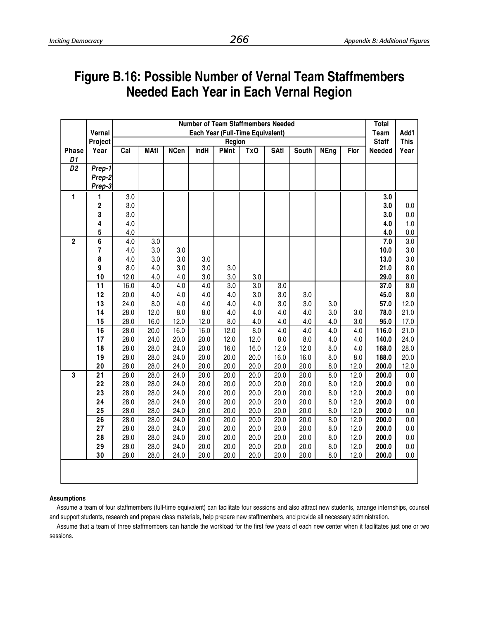# **Figure B.16: Possible Number of Vernal Team Staffmembers Needed Each Year in Each Vernal Region**

|                         |                         | <b>Number of Team Staffmembers Needed</b> |              |              |              |                                  |              |              |              |             |            |                |              |
|-------------------------|-------------------------|-------------------------------------------|--------------|--------------|--------------|----------------------------------|--------------|--------------|--------------|-------------|------------|----------------|--------------|
|                         | Vernal                  |                                           |              |              |              | Each Year (Full-Time Equivalent) |              |              |              |             |            | <b>Team</b>    | Add'l        |
|                         | Project                 |                                           |              |              |              | Region                           |              |              |              |             |            | <b>Staff</b>   | <b>This</b>  |
| <b>Phase</b>            | Year                    | Cal                                       | <b>MAtl</b>  | <b>NCen</b>  | IndH         | <b>PMnt</b>                      | TxO          | <b>SAtl</b>  | South        | <b>NEng</b> | Flor       | Needed         | Year         |
| D1                      |                         |                                           |              |              |              |                                  |              |              |              |             |            |                |              |
| D <sub>2</sub>          | Prep-1                  |                                           |              |              |              |                                  |              |              |              |             |            |                |              |
|                         | Prep-2                  |                                           |              |              |              |                                  |              |              |              |             |            |                |              |
|                         | Prep-3                  |                                           |              |              |              |                                  |              |              |              |             |            |                |              |
| 1                       | 1                       | 3.0                                       |              |              |              |                                  |              |              |              |             |            | 3.0            |              |
|                         | 2                       | 3.0                                       |              |              |              |                                  |              |              |              |             |            | 3.0            | 0.0          |
|                         | 3                       | $3.0\,$                                   |              |              |              |                                  |              |              |              |             |            | 3.0            | $0.0\,$      |
|                         | 4                       | 4.0                                       |              |              |              |                                  |              |              |              |             |            | 4.0            | 1.0          |
|                         | 5                       | 4.0                                       |              |              |              |                                  |              |              |              |             |            | 4.0            | $0.0\,$      |
| $\overline{\mathbf{2}}$ | $\overline{\mathbf{6}}$ | 4.0                                       | 3.0          |              |              |                                  |              |              |              |             |            | 7.0            | 3.0          |
|                         | 7                       | 4.0                                       | 3.0          | 3.0          |              |                                  |              |              |              |             |            | 10.0           | 3.0          |
|                         | 8                       | 4.0                                       | 3.0          | 3.0          | 3.0          |                                  |              |              |              |             |            | 13.0           | 3.0          |
|                         | 9                       | 8.0                                       | 4.0          | 3.0          | 3.0          | 3.0                              |              |              |              |             |            | 21.0           | $8.0\,$      |
|                         | 10                      | 12.0                                      | 4.0          | 4.0          | 3.0          | 3.0                              | 3.0          |              |              |             |            | 29.0           | 8.0          |
|                         | $\overline{11}$         | 16.0                                      | 4.0          | 4.0          | 4.0          | 3.0                              | 3.0          | 3.0          |              |             |            | 37.0           | 8.0          |
|                         | 12                      | 20.0                                      | 4.0          | 4.0          | 4.0          | 4.0                              | 3.0          | 3.0          | 3.0          |             |            | 45.0           | 8.0          |
|                         | 13                      | 24.0                                      | 8.0          | 4.0          | 4.0          | 4.0                              | $4.0$        | 3.0          | 3.0          | 3.0         |            | 57.0           | 12.0         |
|                         | 14                      | 28.0                                      | 12.0         | 8.0          | 8.0          | 4.0                              | 4.0          | 4.0          | 4.0          | 3.0         | 3.0        | 78.0           | 21.0         |
|                         | 15                      | 28.0                                      | 16.0         | 12.0         | 12.0         | 8.0                              | 4.0          | 4.0          | 4.0          | 4.0         | 3.0        | 95.0           | 17.0         |
|                         | 16                      | 28.0                                      | 20.0         | 16.0         | 16.0         | 12.0                             | 8.0          | 4.0          | 4.0          | 4.0         | 4.0        | 116.0          | 21.0         |
|                         | 17<br>18                | 28.0                                      | 24.0         | 20.0<br>24.0 | 20.0<br>20.0 | 12.0                             | 12.0         | 8.0          | 8.0          | $4.0$       | 4.0        | 140.0<br>168.0 | 24.0         |
|                         | 19                      | 28.0<br>28.0                              | 28.0<br>28.0 | 24.0         | 20.0         | 16.0<br>20.0                     | 16.0<br>20.0 | 12.0<br>16.0 | 12.0<br>16.0 | 8.0<br>8.0  | 4.0<br>8.0 | 188.0          | 28.0<br>20.0 |
|                         | 20                      | 28.0                                      | 28.0         | 24.0         | 20.0         | 20.0                             | 20.0         | 20.0         | 20.0         | 8.0         | 12.0       | 200.0          | 12.0         |
| $\overline{3}$          | 21                      | 28.0                                      | 28.0         | 24.0         | 20.0         | 20.0                             | 20.0         | 20.0         | 20.0         | 8.0         | 12.0       | 200.0          | 0.0          |
|                         | 22                      | 28.0                                      | 28.0         | 24.0         | 20.0         | 20.0                             | 20.0         | 20.0         | 20.0         | 8.0         | 12.0       | 200.0          | 0.0          |
|                         | 23                      | 28.0                                      | 28.0         | 24.0         | 20.0         | 20.0                             | 20.0         | 20.0         | 20.0         | 8.0         | 12.0       | 200.0          | $0.0\,$      |
|                         | 24                      | 28.0                                      | 28.0         | 24.0         | 20.0         | 20.0                             | 20.0         | 20.0         | 20.0         | 8.0         | 12.0       | 200.0          | 0.0          |
|                         | 25                      | 28.0                                      | 28.0         | 24.0         | 20.0         | 20.0                             | 20.0         | 20.0         | 20.0         | 8.0         | 12.0       | 200.0          | $0.0\,$      |
|                         | 26                      | 28.0                                      | 28.0         | 24.0         | 20.0         | 20.0                             | 20.0         | 20.0         | 20.0         | 8.0         | 12.0       | 200.0          | 0.0          |
|                         | 27                      | 28.0                                      | 28.0         | 24.0         | 20.0         | 20.0                             | 20.0         | 20.0         | 20.0         | 8.0         | 12.0       | 200.0          | $0.0\,$      |
|                         | 28                      | 28.0                                      | 28.0         | 24.0         | 20.0         | 20.0                             | 20.0         | 20.0         | 20.0         | 8.0         | 12.0       | 200.0          | $0.0\,$      |
|                         | 29                      | 28.0                                      | 28.0         | 24.0         | 20.0         | 20.0                             | 20.0         | 20.0         | 20.0         | 8.0         | 12.0       | 200.0          | $0.0\,$      |
|                         | 30                      | 28.0                                      | 28.0         | 24.0         | 20.0         | 20.0                             | 20.0         | 20.0         | 20.0         | 8.0         | 12.0       | 200.0          | $0.0\,$      |
|                         |                         |                                           |              |              |              |                                  |              |              |              |             |            |                |              |
|                         |                         |                                           |              |              |              |                                  |              |              |              |             |            |                |              |
|                         |                         |                                           |              |              |              |                                  |              |              |              |             |            |                |              |

### **Assumptions**

Assume a team of four staffmembers (full-time equivalent) can facilitate four sessions and also attract new students, arrange internships, counsel and support students, research and prepare class materials, help prepare new staffmembers, and provide all necessary administration.

Assume that a team of three staffmembers can handle the workload for the first few years of each new center when it facilitates just one or two sessions.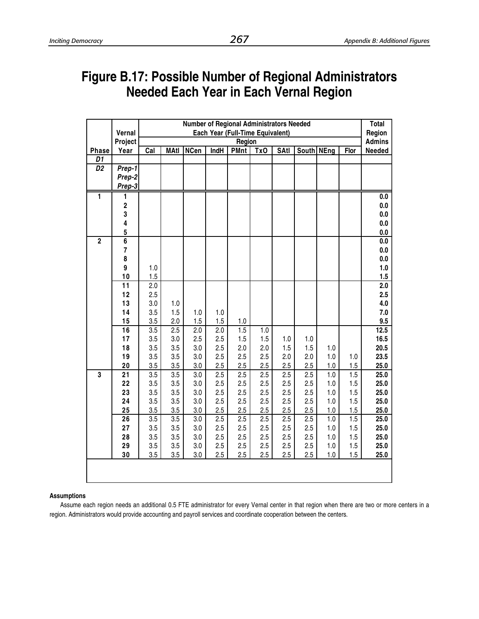# **Figure B.17: Possible Number of Regional Administrators Needed Each Year in Each Vernal Region**

|                         |                         |            | <b>Number of Regional Administrators Needed</b> |             |             |                                  |     |             |              |         |      |               |  |
|-------------------------|-------------------------|------------|-------------------------------------------------|-------------|-------------|----------------------------------|-----|-------------|--------------|---------|------|---------------|--|
|                         | Vernal                  |            |                                                 |             |             | Each Year (Full-Time Equivalent) |     |             |              |         |      | Region        |  |
|                         | Project                 |            |                                                 |             |             | Region                           |     |             |              |         |      | <b>Admins</b> |  |
| <b>Phase</b>            | Year                    | Cal        | <b>MAtl</b>                                     | <b>NCen</b> | <b>IndH</b> | <b>PMnt</b>                      | Tx0 | <b>SAtl</b> | South   NEng |         | Flor | Needed        |  |
| D1                      |                         |            |                                                 |             |             |                                  |     |             |              |         |      |               |  |
| D <sub>2</sub>          | Prep-1                  |            |                                                 |             |             |                                  |     |             |              |         |      |               |  |
|                         | Prep-2                  |            |                                                 |             |             |                                  |     |             |              |         |      |               |  |
|                         | Prep-3                  |            |                                                 |             |             |                                  |     |             |              |         |      |               |  |
| 1                       | 1                       |            |                                                 |             |             |                                  |     |             |              |         |      | $0.0\,$       |  |
|                         | $\overline{\mathbf{2}}$ |            |                                                 |             |             |                                  |     |             |              |         |      | $0.0\,$       |  |
|                         | 3                       |            |                                                 |             |             |                                  |     |             |              |         |      | $0.0\,$       |  |
|                         | 4                       |            |                                                 |             |             |                                  |     |             |              |         |      | $0.0\,$       |  |
|                         | 5                       |            |                                                 |             |             |                                  |     |             |              |         |      | $0.0\,$       |  |
| $\overline{2}$          | $\overline{6}$          |            |                                                 |             |             |                                  |     |             |              |         |      | $0.0\,$       |  |
|                         | $\overline{7}$          |            |                                                 |             |             |                                  |     |             |              |         |      | $0.0\,$       |  |
|                         | 8                       |            |                                                 |             |             |                                  |     |             |              |         |      | $0.0\,$       |  |
|                         | 9                       | 1.0        |                                                 |             |             |                                  |     |             |              |         |      | 1.0           |  |
|                         | 10                      | 1.5        |                                                 |             |             |                                  |     |             |              |         |      | 1.5           |  |
|                         | 11                      | 2.0        |                                                 |             |             |                                  |     |             |              |         |      | 2.0           |  |
|                         | 12                      | 2.5        |                                                 |             |             |                                  |     |             |              |         |      | 2.5           |  |
|                         | 13<br>14                | 3.0        | 1.0                                             |             |             |                                  |     |             |              |         |      | 4.0           |  |
|                         | 15                      | 3.5<br>3.5 | 1.5<br>2.0                                      | 1.0<br>1.5  | 1.0<br>1.5  |                                  |     |             |              |         |      | 7.0<br>9.5    |  |
|                         | 16                      | 3.5        | 2.5                                             | 2.0         | 2.0         | $1.0$<br>1.5                     | 1.0 |             |              |         |      | 12.5          |  |
|                         | 17                      | 3.5        | 3.0                                             | 2.5         | 2.5         | 1.5                              | 1.5 | 1.0         | 1.0          |         |      | 16.5          |  |
|                         | 18                      | 3.5        | 3.5                                             | 3.0         | 2.5         | 2.0                              | 2.0 | 1.5         | 1.5          | 1.0     |      | 20.5          |  |
|                         | 19                      | 3.5        | 3.5                                             | 3.0         | 2.5         | 2.5                              | 2.5 | 2.0         | 2.0          | 1.0     | 1.0  | 23.5          |  |
|                         | 20                      | 3.5        | 3.5                                             | 3.0         | 2.5         | 2.5                              | 2.5 | 2.5         | 2.5          | 1.0     | 1.5  | 25.0          |  |
| $\overline{\mathbf{3}}$ | 21                      | 3.5        | 3.5                                             | 3.0         | 2.5         | 2.5                              | 2.5 | 2.5         | 2.5          | 1.0     | 1.5  | 25.0          |  |
|                         | 22                      | 3.5        | 3.5                                             | 3.0         | 2.5         | 2.5                              | 2.5 | 2.5         | 2.5          | 1.0     | 1.5  | 25.0          |  |
|                         | 23                      | 3.5        | 3.5                                             | 3.0         | 2.5         | 2.5                              | 2.5 | 2.5         | 2.5          | 1.0     | 1.5  | 25.0          |  |
|                         | 24                      | 3.5        | 3.5                                             | 3.0         | 2.5         | 2.5                              | 2.5 | 2.5         | 2.5          | $1.0$   | 1.5  | 25.0          |  |
|                         | 25                      | 3.5        | 3.5                                             | 3.0         | 2.5         | 2.5                              | 2.5 | 2.5         | 2.5          | 1.0     | 1.5  | 25.0          |  |
|                         | 26                      | 3.5        | 3.5                                             | 3.0         | 2.5         | 2.5                              | 2.5 | 2.5         | 2.5          | 1.0     | 1.5  | 25.0          |  |
|                         | 27                      | 3.5        | 3.5                                             | 3.0         | 2.5         | 2.5                              | 2.5 | 2.5         | 2.5          | 1.0     | 1.5  | 25.0          |  |
|                         | 28                      | 3.5        | 3.5                                             | 3.0         | 2.5         | 2.5                              | 2.5 | 2.5         | 2.5          | 1.0     | 1.5  | 25.0          |  |
|                         | 29                      | 3.5        | 3.5                                             | 3.0         | 2.5         | 2.5                              | 2.5 | 2.5         | 2.5          | $1.0\,$ | 1.5  | 25.0          |  |
|                         | 30                      | 3.5        | 3.5                                             | 3.0         | 2.5         | 2.5                              | 2.5 | 2.5         | 2.5          | $1.0$   | 1.5  | 25.0          |  |
|                         |                         |            |                                                 |             |             |                                  |     |             |              |         |      |               |  |

### **Assumptions**

Assume each region needs an additional 0.5 FTE administrator for every Vernal center in that region when there are two or more centers in a region. Administrators would provide accounting and payroll services and coordinate cooperation between the centers.